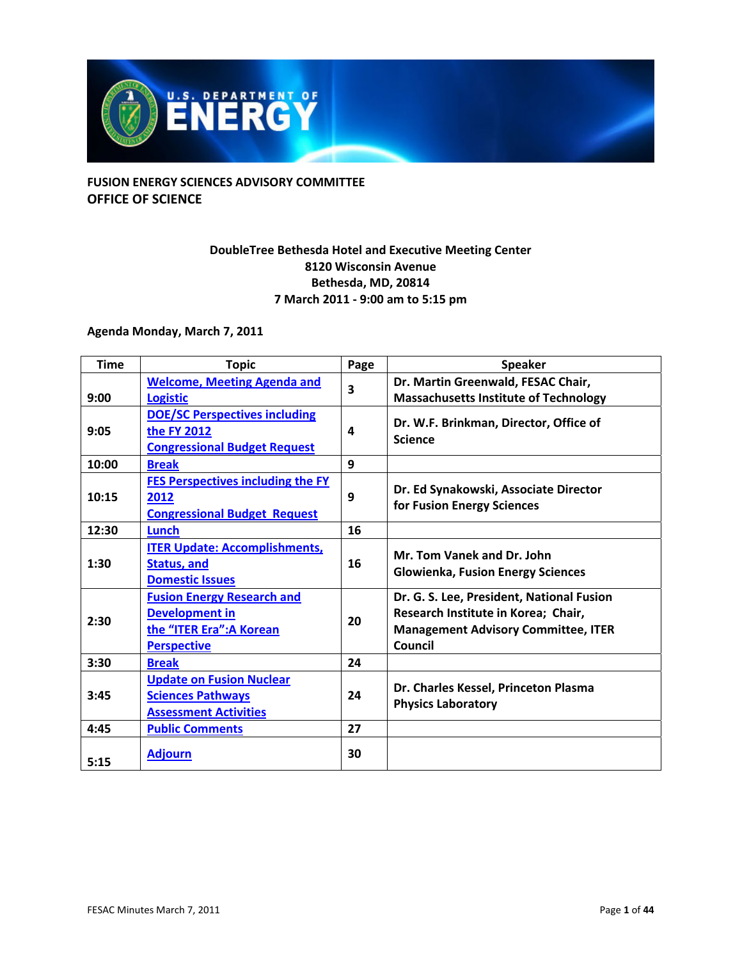

### **FUSION ENERGY SCIENCES ADVISORY COMMITTEE OFFICE OF SCIENCE**

### **DoubleTree Bethesda Hotel and Executive Meeting Center 8120 Wisconsin Avenue Bethesda, MD, 20814 7 March 2011 ‐ 9:00 am to 5:15 pm**

### **Agenda Monday, March 7, 2011**

| <b>Time</b> | <b>Topic</b>                                                                                                 | Page | <b>Speaker</b>                                                                                                                            |
|-------------|--------------------------------------------------------------------------------------------------------------|------|-------------------------------------------------------------------------------------------------------------------------------------------|
| 9:00        | <b>Welcome, Meeting Agenda and</b><br><b>Logistic</b>                                                        | 3    | Dr. Martin Greenwald, FESAC Chair,<br><b>Massachusetts Institute of Technology</b>                                                        |
| 9:05        | <b>DOE/SC Perspectives including</b><br>the FY 2012<br><b>Congressional Budget Request</b>                   | 4    | Dr. W.F. Brinkman, Director, Office of<br><b>Science</b>                                                                                  |
| 10:00       | <b>Break</b>                                                                                                 | 9    |                                                                                                                                           |
| 10:15       | <b>FES Perspectives including the FY</b><br>2012<br><b>Congressional Budget Request</b>                      | 9    | Dr. Ed Synakowski, Associate Director<br>for Fusion Energy Sciences                                                                       |
| 12:30       | Lunch                                                                                                        | 16   |                                                                                                                                           |
| 1:30        | <b>ITER Update: Accomplishments,</b><br><b>Status, and</b><br><b>Domestic Issues</b>                         | 16   | Mr. Tom Vanek and Dr. John<br><b>Glowienka, Fusion Energy Sciences</b>                                                                    |
| 2:30        | <b>Fusion Energy Research and</b><br><b>Development in</b><br>the "ITER Era": A Korean<br><b>Perspective</b> | 20   | Dr. G. S. Lee, President, National Fusion<br>Research Institute in Korea; Chair,<br><b>Management Advisory Committee, ITER</b><br>Council |
| 3:30        | <b>Break</b>                                                                                                 | 24   |                                                                                                                                           |
| 3:45        | <b>Update on Fusion Nuclear</b><br><b>Sciences Pathways</b><br><b>Assessment Activities</b>                  | 24   | Dr. Charles Kessel, Princeton Plasma<br><b>Physics Laboratory</b>                                                                         |
| 4:45        | <b>Public Comments</b>                                                                                       | 27   |                                                                                                                                           |
| 5:15        | <b>Adjourn</b>                                                                                               | 30   |                                                                                                                                           |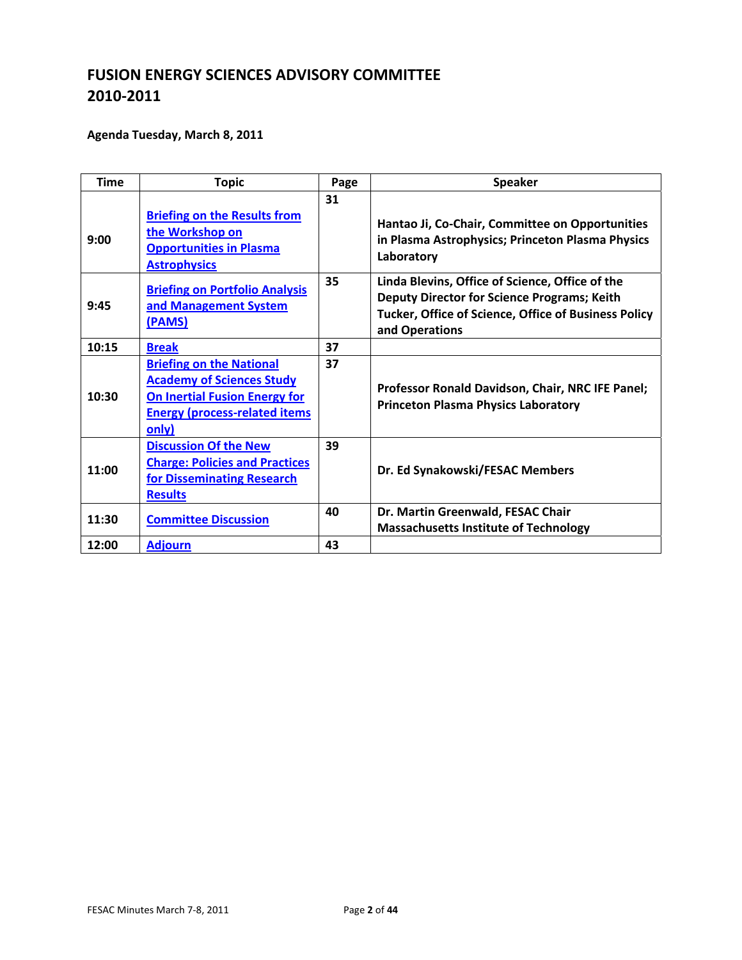### **Agenda Tuesday, March 8, 2011**

| <b>Time</b> | <b>Topic</b>                                                                                                                                                  | Page | <b>Speaker</b>                                                                                                                                                                  |
|-------------|---------------------------------------------------------------------------------------------------------------------------------------------------------------|------|---------------------------------------------------------------------------------------------------------------------------------------------------------------------------------|
| 9:00        | <b>Briefing on the Results from</b><br>the Workshop on<br><b>Opportunities in Plasma</b><br><b>Astrophysics</b>                                               | 31   | Hantao Ji, Co-Chair, Committee on Opportunities<br>in Plasma Astrophysics; Princeton Plasma Physics<br>Laboratory                                                               |
| 9:45        | <b>Briefing on Portfolio Analysis</b><br>and Management System<br>(PAMS)                                                                                      | 35   | Linda Blevins, Office of Science, Office of the<br><b>Deputy Director for Science Programs; Keith</b><br>Tucker, Office of Science, Office of Business Policy<br>and Operations |
| 10:15       | <b>Break</b>                                                                                                                                                  | 37   |                                                                                                                                                                                 |
| 10:30       | <b>Briefing on the National</b><br><b>Academy of Sciences Study</b><br><b>On Inertial Fusion Energy for</b><br><b>Energy (process-related items)</b><br>only) | 37   | Professor Ronald Davidson, Chair, NRC IFE Panel;<br><b>Princeton Plasma Physics Laboratory</b>                                                                                  |
| 11:00       | <b>Discussion Of the New</b><br><b>Charge: Policies and Practices</b><br>for Disseminating Research<br><b>Results</b>                                         | 39   | Dr. Ed Synakowski/FESAC Members                                                                                                                                                 |
| 11:30       | <b>Committee Discussion</b>                                                                                                                                   | 40   | Dr. Martin Greenwald, FESAC Chair<br><b>Massachusetts Institute of Technology</b>                                                                                               |
| 12:00       | <b>Adjourn</b>                                                                                                                                                | 43   |                                                                                                                                                                                 |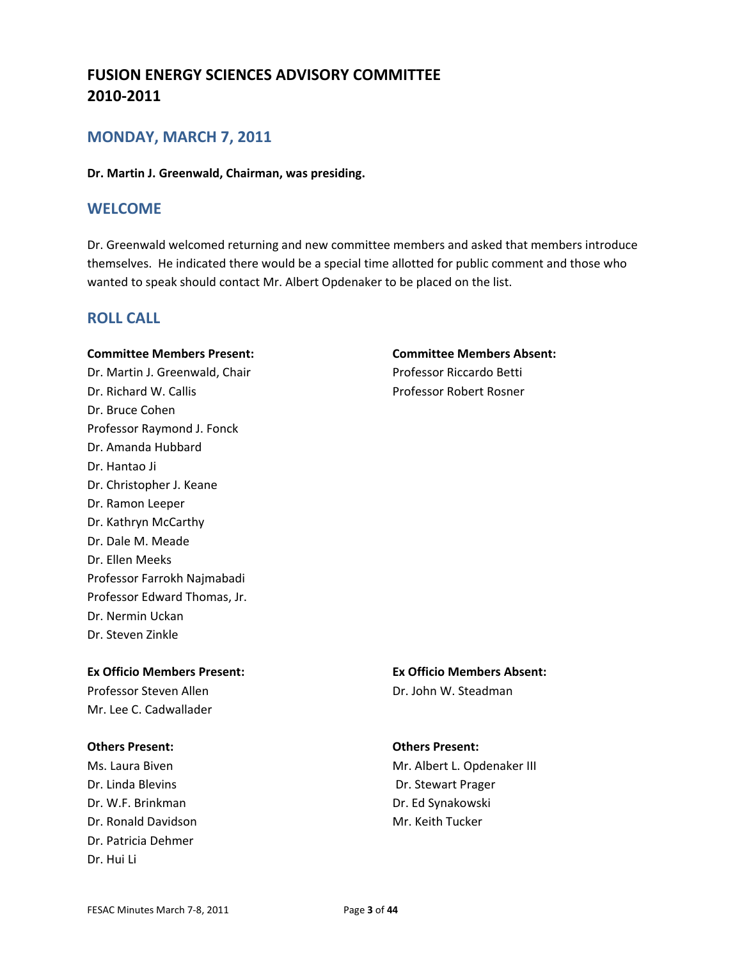### **MONDAY, MARCH 7, 2011**

**Dr. Martin J. Greenwald, Chairman, was presiding.**

### **WELCOME**

Dr. Greenwald welcomed returning and new committee members and asked that members introduce themselves. He indicated there would be a special time allotted for public comment and those who wanted to speak should contact Mr. Albert Opdenaker to be placed on the list.

### **ROLL CALL**

#### **Committee Members Present: Committee Members Absent:**

Dr. Martin J. Greenwald, Chair **Branch Betti** Professor Riccardo Betti Dr. Richard W. Callis Professor Robert Rosner Dr. Bruce Cohen Professor Raymond J. Fonck Dr. Amanda Hubbard Dr. Hantao Ji Dr. Christopher J. Keane Dr. Ramon Leeper Dr. Kathryn McCarthy Dr. Dale M. Meade Dr. Ellen Meeks Professor Farrokh Najmabadi Professor Edward Thomas, Jr. Dr. Nermin Uckan Dr. Steven Zinkle

### **Ex Officio Members Present: Ex Officio Members Absent:**

Professor Steven Allen **Brookley Controller Steadman** Mr. Lee C. Cadwallader

### **Others Present: Others Present:**

Dr. Linda Blevins **Dr. Stewart Prager** Dr. W.F. Brinkman Dr. Ed Synakowski Dr. Ronald Davidson **Mr. Keith Tucker Mr. Keith Tucker** Dr. Patricia Dehmer Dr. Hui Li

Ms. Laura Biven **Mr. Albert L. Opdenaker III** Mr. Albert L. Opdenaker III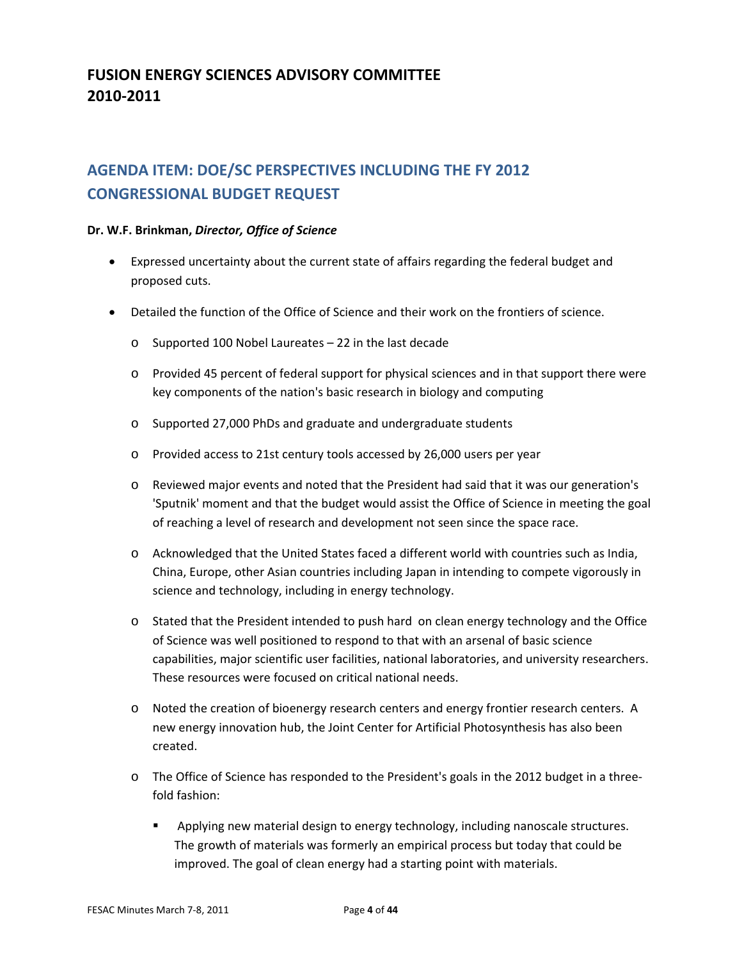# **AGENDA ITEM: DOE/SC PERSPECTIVES INCLUDING THE FY 2012 CONGRESSIONAL BUDGET REQUEST**

#### **Dr. W.F. Brinkman,** *Director, Office of Science*

- Expressed uncertainty about the current state of affairs regarding the federal budget and proposed cuts.
- Detailed the function of the Office of Science and their work on the frontiers of science.
	- o Supported 100 Nobel Laureates 22 in the last decade
	- o Provided 45 percent of federal support for physical sciences and in that support there were key components of the nation's basic research in biology and computing
	- o Supported 27,000 PhDs and graduate and undergraduate students
	- o Provided access to 21st century tools accessed by 26,000 users per year
	- o Reviewed major events and noted that the President had said that it was our generation's 'Sputnik' moment and that the budget would assist the Office of Science in meeting the goal of reaching a level of research and development not seen since the space race.
	- o Acknowledged that the United States faced a different world with countries such as India, China, Europe, other Asian countries including Japan in intending to compete vigorously in science and technology, including in energy technology.
	- o Stated that the President intended to push hard on clean energy technology and the Office of Science was well positioned to respond to that with an arsenal of basic science capabilities, major scientific user facilities, national laboratories, and university researchers. These resources were focused on critical national needs.
	- o Noted the creation of bioenergy research centers and energy frontier research centers. A new energy innovation hub, the Joint Center for Artificial Photosynthesis has also been created.
	- o The Office of Science has responded to the President's goals in the 2012 budget in a three‐ fold fashion:
		- **•** Applying new material design to energy technology, including nanoscale structures. The growth of materials was formerly an empirical process but today that could be improved. The goal of clean energy had a starting point with materials.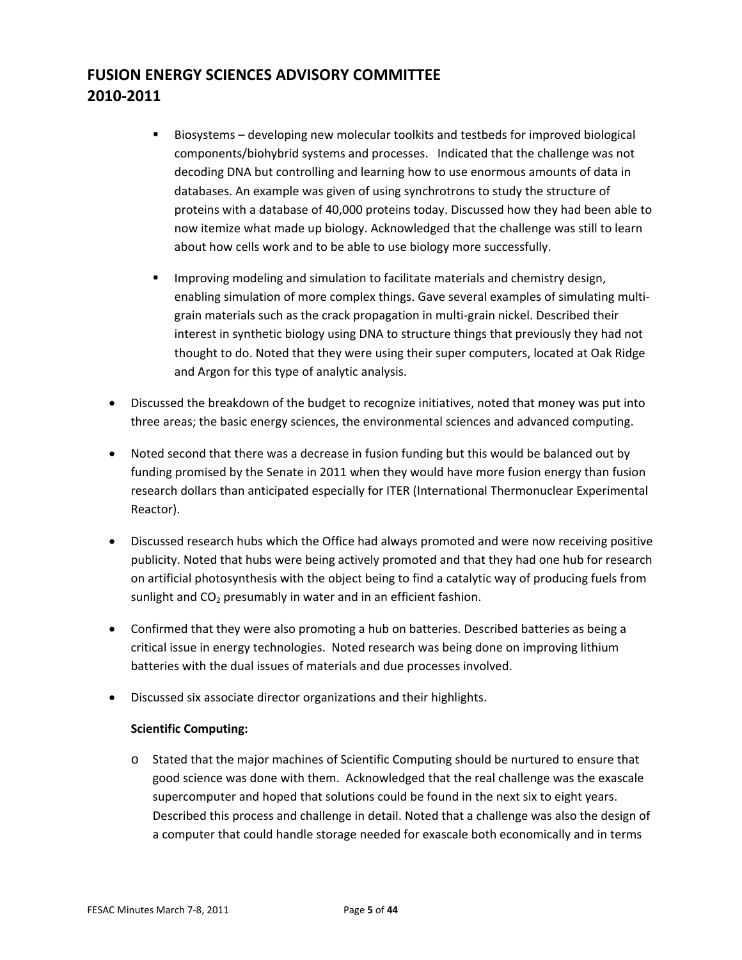- Biosystems developing new molecular toolkits and testbeds for improved biological components/biohybrid systems and processes. Indicated that the challenge was not decoding DNA but controlling and learning how to use enormous amounts of data in databases. An example was given of using synchrotrons to study the structure of proteins with a database of 40,000 proteins today. Discussed how they had been able to now itemize what made up biology. Acknowledged that the challenge was still to learn about how cells work and to be able to use biology more successfully.
- **IMPROM** Improving modeling and simulation to facilitate materials and chemistry design, enabling simulation of more complex things. Gave several examples of simulating multigrain materials such as the crack propagation in multi‐grain nickel. Described their interest in synthetic biology using DNA to structure things that previously they had not thought to do. Noted that they were using their super computers, located at Oak Ridge and Argon for this type of analytic analysis.
- Discussed the breakdown of the budget to recognize initiatives, noted that money was put into three areas; the basic energy sciences, the environmental sciences and advanced computing.
- Noted second that there was a decrease in fusion funding but this would be balanced out by funding promised by the Senate in 2011 when they would have more fusion energy than fusion research dollars than anticipated especially for ITER (International Thermonuclear Experimental Reactor).
- Discussed research hubs which the Office had always promoted and were now receiving positive publicity. Noted that hubs were being actively promoted and that they had one hub for research on artificial photosynthesis with the object being to find a catalytic way of producing fuels from sunlight and  $CO<sub>2</sub>$  presumably in water and in an efficient fashion.
- Confirmed that they were also promoting a hub on batteries. Described batteries as being a critical issue in energy technologies. Noted research was being done on improving lithium batteries with the dual issues of materials and due processes involved.
- Discussed six associate director organizations and their highlights.

#### **Scientific Computing:**

o Stated that the major machines of Scientific Computing should be nurtured to ensure that good science was done with them. Acknowledged that the real challenge was the exascale supercomputer and hoped that solutions could be found in the next six to eight years. Described this process and challenge in detail. Noted that a challenge was also the design of a computer that could handle storage needed for exascale both economically and in terms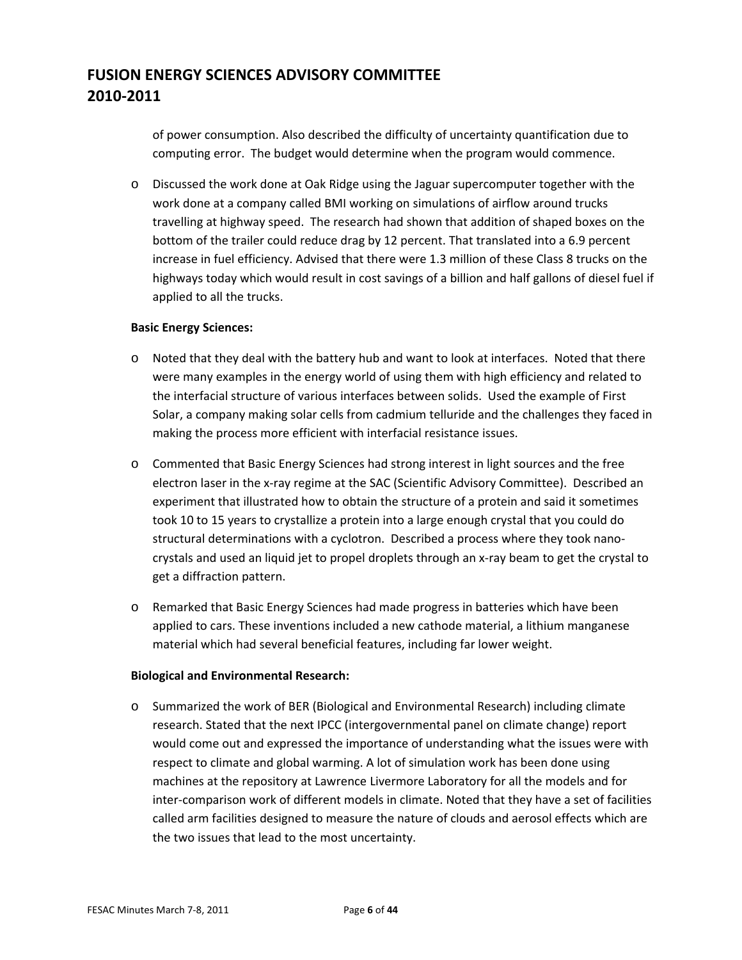of power consumption. Also described the difficulty of uncertainty quantification due to computing error. The budget would determine when the program would commence.

o Discussed the work done at Oak Ridge using the Jaguar supercomputer together with the work done at a company called BMI working on simulations of airflow around trucks travelling at highway speed. The research had shown that addition of shaped boxes on the bottom of the trailer could reduce drag by 12 percent. That translated into a 6.9 percent increase in fuel efficiency. Advised that there were 1.3 million of these Class 8 trucks on the highways today which would result in cost savings of a billion and half gallons of diesel fuel if applied to all the trucks.

#### **Basic Energy Sciences:**

- o Noted that they deal with the battery hub and want to look at interfaces. Noted that there were many examples in the energy world of using them with high efficiency and related to the interfacial structure of various interfaces between solids. Used the example of First Solar, a company making solar cells from cadmium telluride and the challenges they faced in making the process more efficient with interfacial resistance issues.
- o Commented that Basic Energy Sciences had strong interest in light sources and the free electron laser in the x‐ray regime at the SAC (Scientific Advisory Committee). Described an experiment that illustrated how to obtain the structure of a protein and said it sometimes took 10 to 15 years to crystallize a protein into a large enough crystal that you could do structural determinations with a cyclotron. Described a process where they took nano‐ crystals and used an liquid jet to propel droplets through an x‐ray beam to get the crystal to get a diffraction pattern.
- o Remarked that Basic Energy Sciences had made progress in batteries which have been applied to cars. These inventions included a new cathode material, a lithium manganese material which had several beneficial features, including far lower weight.

#### **Biological and Environmental Research:**

o Summarized the work of BER (Biological and Environmental Research) including climate research. Stated that the next IPCC (intergovernmental panel on climate change) report would come out and expressed the importance of understanding what the issues were with respect to climate and global warming. A lot of simulation work has been done using machines at the repository at Lawrence Livermore Laboratory for all the models and for inter-comparison work of different models in climate. Noted that they have a set of facilities called arm facilities designed to measure the nature of clouds and aerosol effects which are the two issues that lead to the most uncertainty.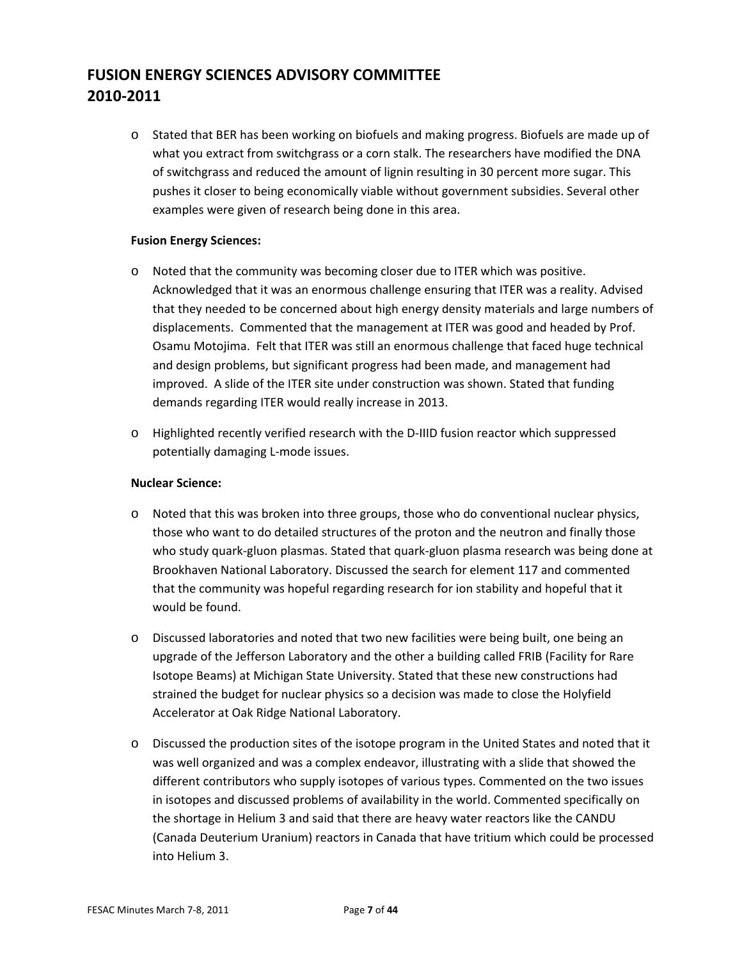o Stated that BER has been working on biofuels and making progress. Biofuels are made up of what you extract from switchgrass or a corn stalk. The researchers have modified the DNA of switchgrass and reduced the amount of lignin resulting in 30 percent more sugar. This pushes it closer to being economically viable without government subsidies. Several other examples were given of research being done in this area.

#### **Fusion Energy Sciences:**

- o Noted that the community was becoming closer due to ITER which was positive. Acknowledged that it was an enormous challenge ensuring that ITER was a reality. Advised that they needed to be concerned about high energy density materials and large numbers of displacements. Commented that the management at ITER was good and headed by Prof. Osamu Motojima. Felt that ITER was still an enormous challenge that faced huge technical and design problems, but significant progress had been made, and management had improved. A slide of the ITER site under construction was shown. Stated that funding demands regarding ITER would really increase in 2013.
- o Highlighted recently verified research with the D‐IIID fusion reactor which suppressed potentially damaging L‐mode issues.

#### **Nuclear Science:**

- o Noted that this was broken into three groups, those who do conventional nuclear physics, those who want to do detailed structures of the proton and the neutron and finally those who study quark‐gluon plasmas. Stated that quark‐gluon plasma research was being done at Brookhaven National Laboratory. Discussed the search for element 117 and commented that the community was hopeful regarding research for ion stability and hopeful that it would be found.
- o Discussed laboratories and noted that two new facilities were being built, one being an upgrade of the Jefferson Laboratory and the other a building called FRIB (Facility for Rare Isotope Beams) at Michigan State University. Stated that these new constructions had strained the budget for nuclear physics so a decision was made to close the Holyfield Accelerator at Oak Ridge National Laboratory.
- o Discussed the production sites of the isotope program in the United States and noted that it was well organized and was a complex endeavor, illustrating with a slide that showed the different contributors who supply isotopes of various types. Commented on the two issues in isotopes and discussed problems of availability in the world. Commented specifically on the shortage in Helium 3 and said that there are heavy water reactors like the CANDU (Canada Deuterium Uranium) reactors in Canada that have tritium which could be processed into Helium 3.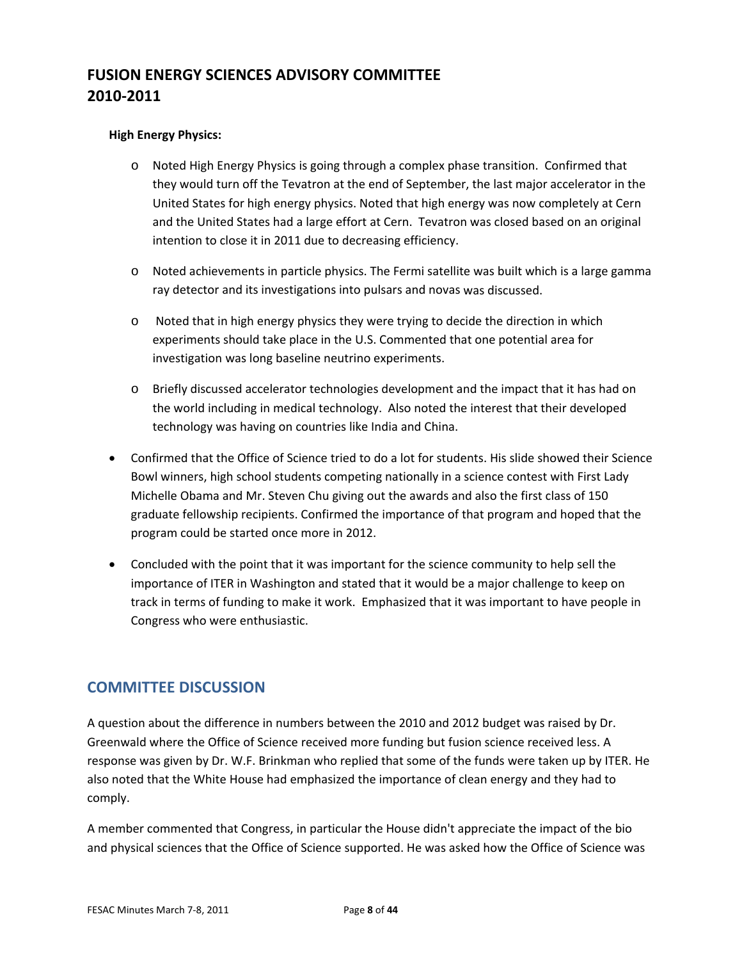#### **High Energy Physics:**

- o Noted High Energy Physics is going through a complex phase transition. Confirmed that they would turn off the Tevatron at the end of September, the last major accelerator in the United States for high energy physics. Noted that high energy was now completely at Cern and the United States had a large effort at Cern. Tevatron was closed based on an original intention to close it in 2011 due to decreasing efficiency.
- o Noted achievements in particle physics. The Fermi satellite was built which is a large gamma ray detector and its investigations into pulsars and novas was discussed.
- o Noted that in high energy physics they were trying to decide the direction in which experiments should take place in the U.S. Commented that one potential area for investigation was long baseline neutrino experiments.
- o Briefly discussed accelerator technologies development and the impact that it has had on the world including in medical technology. Also noted the interest that their developed technology was having on countries like India and China.
- Confirmed that the Office of Science tried to do a lot for students. His slide showed their Science Bowl winners, high school students competing nationally in a science contest with First Lady Michelle Obama and Mr. Steven Chu giving out the awards and also the first class of 150 graduate fellowship recipients. Confirmed the importance of that program and hoped that the program could be started once more in 2012.
- Concluded with the point that it was important for the science community to help sell the importance of ITER in Washington and stated that it would be a major challenge to keep on track in terms of funding to make it work. Emphasized that it was important to have people in Congress who were enthusiastic.

### **COMMITTEE DISCUSSION**

A question about the difference in numbers between the 2010 and 2012 budget was raised by Dr. Greenwald where the Office of Science received more funding but fusion science received less. A response was given by Dr. W.F. Brinkman who replied that some of the funds were taken up by ITER. He also noted that the White House had emphasized the importance of clean energy and they had to comply.

A member commented that Congress, in particular the House didn't appreciate the impact of the bio and physical sciences that the Office of Science supported. He was asked how the Office of Science was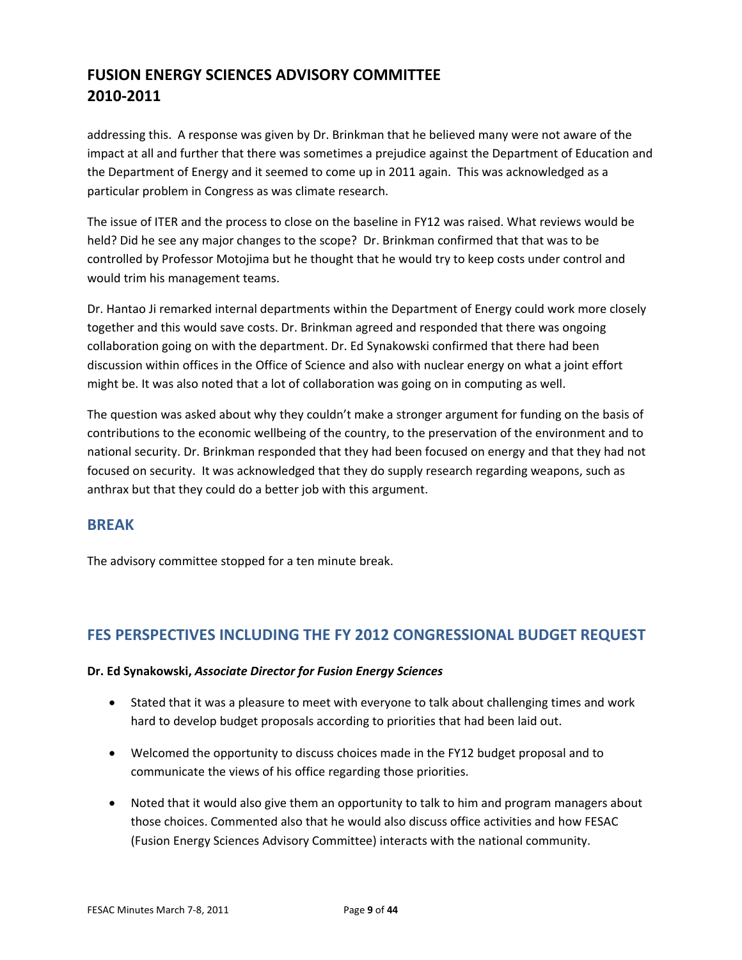addressing this. A response was given by Dr. Brinkman that he believed many were not aware of the impact at all and further that there was sometimes a prejudice against the Department of Education and the Department of Energy and it seemed to come up in 2011 again. This was acknowledged as a particular problem in Congress as was climate research.

The issue of ITER and the process to close on the baseline in FY12 was raised. What reviews would be held? Did he see any major changes to the scope? Dr. Brinkman confirmed that that was to be controlled by Professor Motojima but he thought that he would try to keep costs under control and would trim his management teams.

Dr. Hantao Ji remarked internal departments within the Department of Energy could work more closely together and this would save costs. Dr. Brinkman agreed and responded that there was ongoing collaboration going on with the department. Dr. Ed Synakowski confirmed that there had been discussion within offices in the Office of Science and also with nuclear energy on what a joint effort might be. It was also noted that a lot of collaboration was going on in computing as well.

The question was asked about why they couldn't make a stronger argument for funding on the basis of contributions to the economic wellbeing of the country, to the preservation of the environment and to national security. Dr. Brinkman responded that they had been focused on energy and that they had not focused on security. It was acknowledged that they do supply research regarding weapons, such as anthrax but that they could do a better job with this argument.

### **BREAK**

The advisory committee stopped for a ten minute break.

### **FES PERSPECTIVES INCLUDING THE FY 2012 CONGRESSIONAL BUDGET REQUEST**

#### **Dr. Ed Synakowski,** *Associate Director for Fusion Energy Sciences*

- Stated that it was a pleasure to meet with everyone to talk about challenging times and work hard to develop budget proposals according to priorities that had been laid out.
- Welcomed the opportunity to discuss choices made in the FY12 budget proposal and to communicate the views of his office regarding those priorities.
- Noted that it would also give them an opportunity to talk to him and program managers about those choices. Commented also that he would also discuss office activities and how FESAC (Fusion Energy Sciences Advisory Committee) interacts with the national community.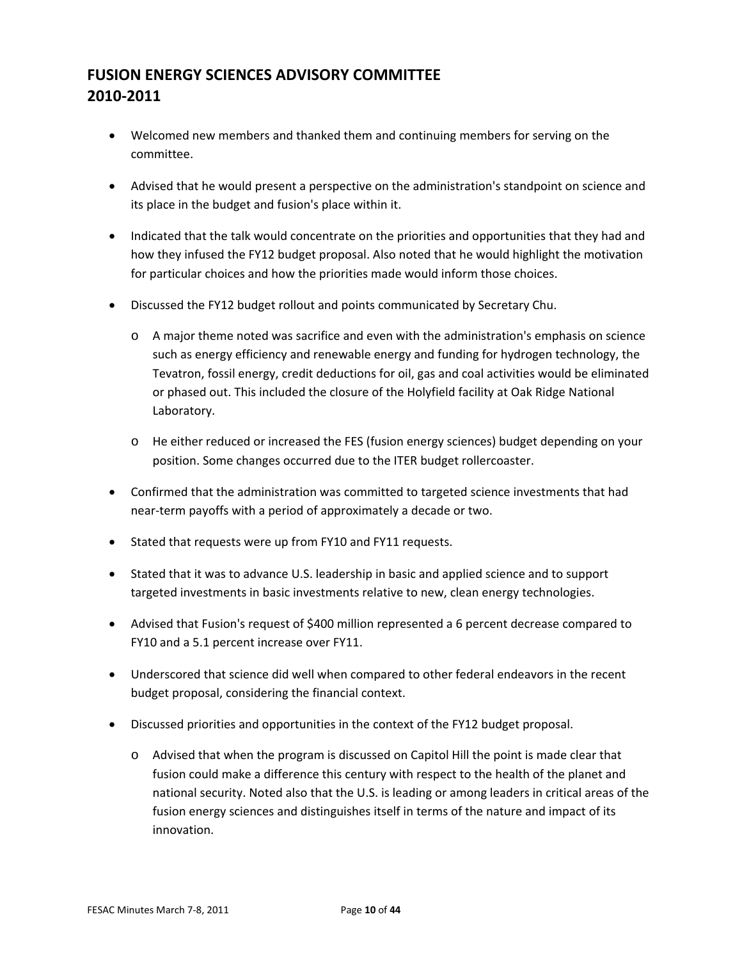- Welcomed new members and thanked them and continuing members for serving on the committee.
- Advised that he would present a perspective on the administration's standpoint on science and its place in the budget and fusion's place within it.
- Indicated that the talk would concentrate on the priorities and opportunities that they had and how they infused the FY12 budget proposal. Also noted that he would highlight the motivation for particular choices and how the priorities made would inform those choices.
- Discussed the FY12 budget rollout and points communicated by Secretary Chu.
	- o A major theme noted was sacrifice and even with the administration's emphasis on science such as energy efficiency and renewable energy and funding for hydrogen technology, the Tevatron, fossil energy, credit deductions for oil, gas and coal activities would be eliminated or phased out. This included the closure of the Holyfield facility at Oak Ridge National Laboratory.
	- o He either reduced or increased the FES (fusion energy sciences) budget depending on your position. Some changes occurred due to the ITER budget rollercoaster.
- Confirmed that the administration was committed to targeted science investments that had near‐term payoffs with a period of approximately a decade or two.
- Stated that requests were up from FY10 and FY11 requests.
- Stated that it was to advance U.S. leadership in basic and applied science and to support targeted investments in basic investments relative to new, clean energy technologies.
- Advised that Fusion's request of \$400 million represented a 6 percent decrease compared to FY10 and a 5.1 percent increase over FY11.
- Underscored that science did well when compared to other federal endeavors in the recent budget proposal, considering the financial context.
- Discussed priorities and opportunities in the context of the FY12 budget proposal.
	- o Advised that when the program is discussed on Capitol Hill the point is made clear that fusion could make a difference this century with respect to the health of the planet and national security. Noted also that the U.S. is leading or among leaders in critical areas of the fusion energy sciences and distinguishes itself in terms of the nature and impact of its innovation.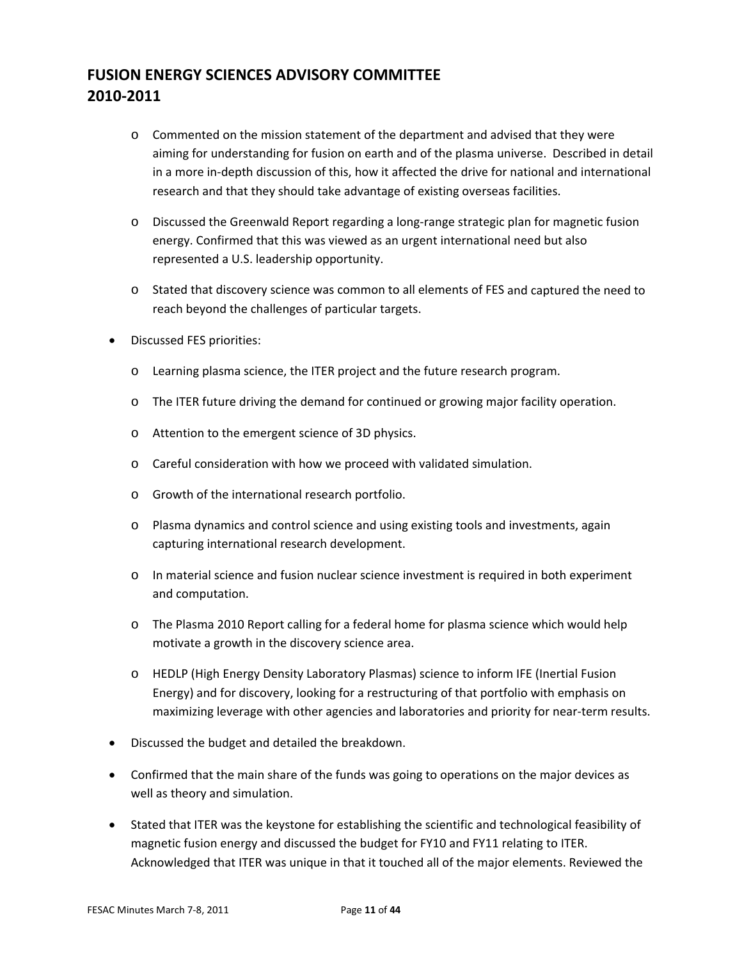- o Commented on the mission statement of the department and advised that they were aiming for understanding for fusion on earth and of the plasma universe. Described in detail in a more in‐depth discussion of this, how it affected the drive for national and international research and that they should take advantage of existing overseas facilities.
- o Discussed the Greenwald Report regarding a long‐range strategic plan for magnetic fusion energy. Confirmed that this was viewed as an urgent international need but also represented a U.S. leadership opportunity.
- o Stated that discovery science was common to all elements of FES and captured the need to reach beyond the challenges of particular targets.
- Discussed FES priorities:
	- o Learning plasma science, the ITER project and the future research program.
	- o The ITER future driving the demand for continued or growing major facility operation.
	- o Attention to the emergent science of 3D physics.
	- o Careful consideration with how we proceed with validated simulation.
	- o Growth of the international research portfolio.
	- o Plasma dynamics and control science and using existing tools and investments, again capturing international research development.
	- o In material science and fusion nuclear science investment is required in both experiment and computation.
	- o The Plasma 2010 Report calling for a federal home for plasma science which would help motivate a growth in the discovery science area.
	- o HEDLP (High Energy Density Laboratory Plasmas) science to inform IFE (Inertial Fusion Energy) and for discovery, looking for a restructuring of that portfolio with emphasis on maximizing leverage with other agencies and laboratories and priority for near-term results.
- Discussed the budget and detailed the breakdown.
- Confirmed that the main share of the funds was going to operations on the major devices as well as theory and simulation.
- Stated that ITER was the keystone for establishing the scientific and technological feasibility of magnetic fusion energy and discussed the budget for FY10 and FY11 relating to ITER. Acknowledged that ITER was unique in that it touched all of the major elements. Reviewed the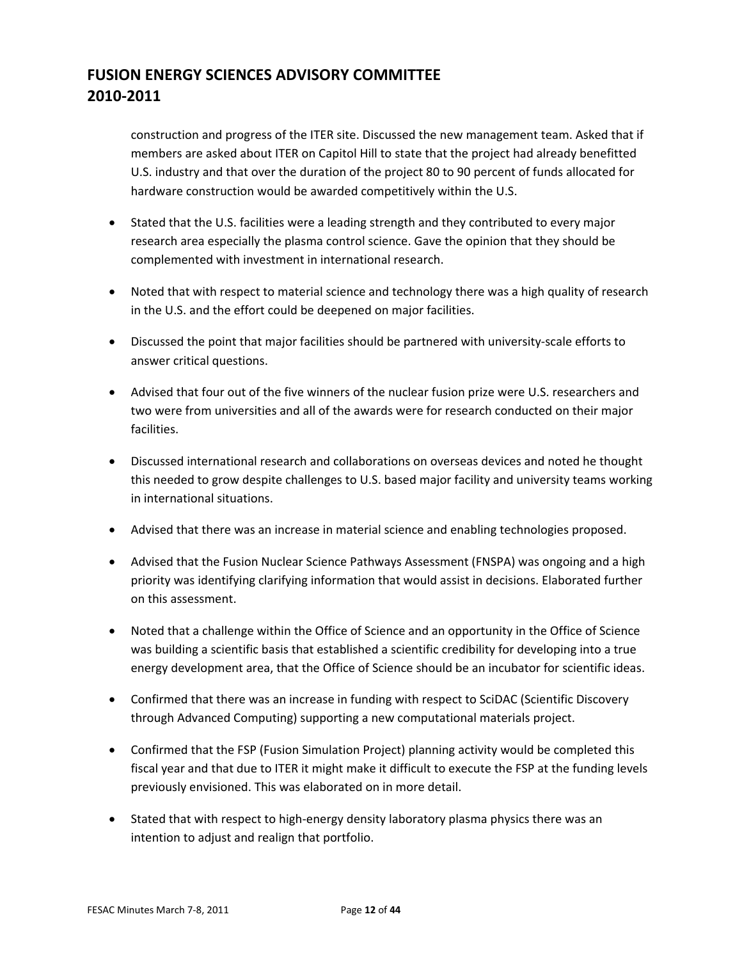construction and progress of the ITER site. Discussed the new management team. Asked that if members are asked about ITER on Capitol Hill to state that the project had already benefitted U.S. industry and that over the duration of the project 80 to 90 percent of funds allocated for hardware construction would be awarded competitively within the U.S.

- Stated that the U.S. facilities were a leading strength and they contributed to every major research area especially the plasma control science. Gave the opinion that they should be complemented with investment in international research.
- Noted that with respect to material science and technology there was a high quality of research in the U.S. and the effort could be deepened on major facilities.
- Discussed the point that major facilities should be partnered with university‐scale efforts to answer critical questions.
- Advised that four out of the five winners of the nuclear fusion prize were U.S. researchers and two were from universities and all of the awards were for research conducted on their major facilities.
- Discussed international research and collaborations on overseas devices and noted he thought this needed to grow despite challenges to U.S. based major facility and university teams working in international situations.
- Advised that there was an increase in material science and enabling technologies proposed.
- Advised that the Fusion Nuclear Science Pathways Assessment (FNSPA) was ongoing and a high priority was identifying clarifying information that would assist in decisions. Elaborated further on this assessment.
- Noted that a challenge within the Office of Science and an opportunity in the Office of Science was building a scientific basis that established a scientific credibility for developing into a true energy development area, that the Office of Science should be an incubator for scientific ideas.
- Confirmed that there was an increase in funding with respect to SciDAC (Scientific Discovery through Advanced Computing) supporting a new computational materials project.
- Confirmed that the FSP (Fusion Simulation Project) planning activity would be completed this fiscal year and that due to ITER it might make it difficult to execute the FSP at the funding levels previously envisioned. This was elaborated on in more detail.
- Stated that with respect to high-energy density laboratory plasma physics there was an intention to adjust and realign that portfolio.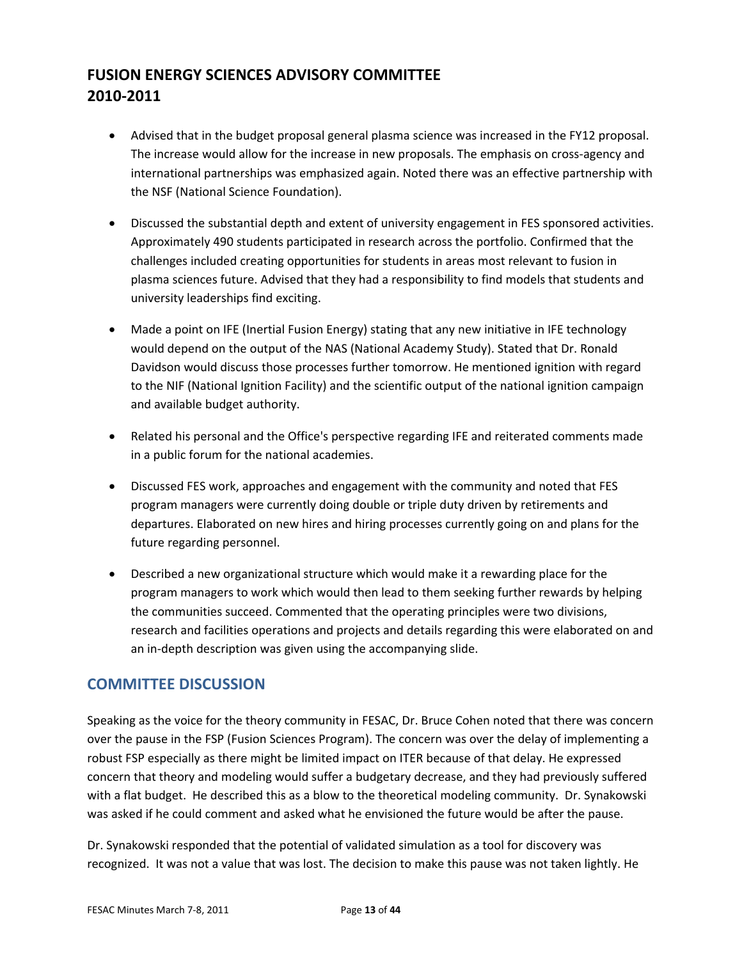- Advised that in the budget proposal general plasma science was increased in the FY12 proposal. The increase would allow for the increase in new proposals. The emphasis on cross-agency and international partnerships was emphasized again. Noted there was an effective partnership with the NSF (National Science Foundation).
- Discussed the substantial depth and extent of university engagement in FES sponsored activities. Approximately 490 students participated in research across the portfolio. Confirmed that the challenges included creating opportunities for students in areas most relevant to fusion in plasma sciences future. Advised that they had a responsibility to find models that students and university leaderships find exciting.
- Made a point on IFE (Inertial Fusion Energy) stating that any new initiative in IFE technology would depend on the output of the NAS (National Academy Study). Stated that Dr. Ronald Davidson would discuss those processes further tomorrow. He mentioned ignition with regard to the NIF (National Ignition Facility) and the scientific output of the national ignition campaign and available budget authority.
- Related his personal and the Office's perspective regarding IFE and reiterated comments made in a public forum for the national academies.
- Discussed FES work, approaches and engagement with the community and noted that FES program managers were currently doing double or triple duty driven by retirements and departures. Elaborated on new hires and hiring processes currently going on and plans for the future regarding personnel.
- Described a new organizational structure which would make it a rewarding place for the program managers to work which would then lead to them seeking further rewards by helping the communities succeed. Commented that the operating principles were two divisions, research and facilities operations and projects and details regarding this were elaborated on and an in-depth description was given using the accompanying slide.

### **COMMITTEE DISCUSSION**

Speaking as the voice for the theory community in FESAC, Dr. Bruce Cohen noted that there was concern over the pause in the FSP (Fusion Sciences Program). The concern was over the delay of implementing a robust FSP especially as there might be limited impact on ITER because of that delay. He expressed concern that theory and modeling would suffer a budgetary decrease, and they had previously suffered with a flat budget. He described this as a blow to the theoretical modeling community. Dr. Synakowski was asked if he could comment and asked what he envisioned the future would be after the pause.

Dr. Synakowski responded that the potential of validated simulation as a tool for discovery was recognized. It was not a value that was lost. The decision to make this pause was not taken lightly. He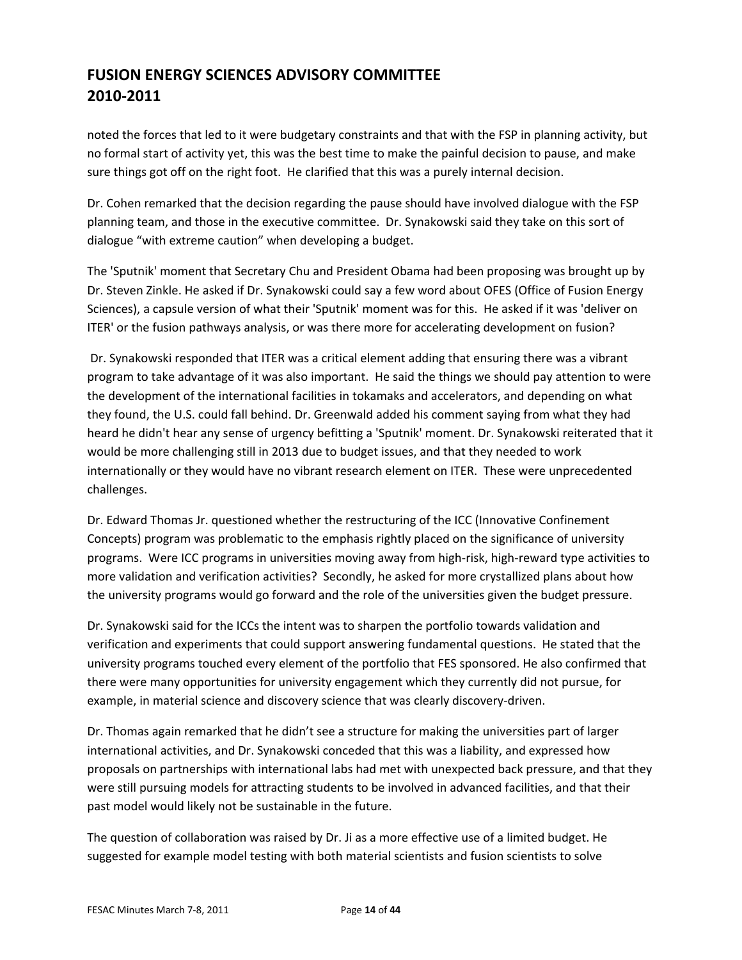noted the forces that led to it were budgetary constraints and that with the FSP in planning activity, but no formal start of activity yet, this was the best time to make the painful decision to pause, and make sure things got off on the right foot. He clarified that this was a purely internal decision.

Dr. Cohen remarked that the decision regarding the pause should have involved dialogue with the FSP planning team, and those in the executive committee. Dr. Synakowski said they take on this sort of dialogue "with extreme caution" when developing a budget.

The 'Sputnik' moment that Secretary Chu and President Obama had been proposing was brought up by Dr. Steven Zinkle. He asked if Dr. Synakowski could say a few word about OFES (Office of Fusion Energy Sciences), a capsule version of what their 'Sputnik' moment was for this. He asked if it was 'deliver on ITER' or the fusion pathways analysis, or was there more for accelerating development on fusion?

Dr. Synakowski responded that ITER was a critical element adding that ensuring there was a vibrant program to take advantage of it was also important. He said the things we should pay attention to were the development of the international facilities in tokamaks and accelerators, and depending on what they found, the U.S. could fall behind. Dr. Greenwald added his comment saying from what they had heard he didn't hear any sense of urgency befitting a 'Sputnik' moment. Dr. Synakowski reiterated that it would be more challenging still in 2013 due to budget issues, and that they needed to work internationally or they would have no vibrant research element on ITER. These were unprecedented challenges.

Dr. Edward Thomas Jr. questioned whether the restructuring of the ICC (Innovative Confinement Concepts) program was problematic to the emphasis rightly placed on the significance of university programs. Were ICC programs in universities moving away from high‐risk, high‐reward type activities to more validation and verification activities? Secondly, he asked for more crystallized plans about how the university programs would go forward and the role of the universities given the budget pressure.

Dr. Synakowski said for the ICCs the intent was to sharpen the portfolio towards validation and verification and experiments that could support answering fundamental questions. He stated that the university programs touched every element of the portfolio that FES sponsored. He also confirmed that there were many opportunities for university engagement which they currently did not pursue, for example, in material science and discovery science that was clearly discovery‐driven.

Dr. Thomas again remarked that he didn't see a structure for making the universities part of larger international activities, and Dr. Synakowski conceded that this was a liability, and expressed how proposals on partnerships with international labs had met with unexpected back pressure, and that they were still pursuing models for attracting students to be involved in advanced facilities, and that their past model would likely not be sustainable in the future.

The question of collaboration was raised by Dr. Ji as a more effective use of a limited budget. He suggested for example model testing with both material scientists and fusion scientists to solve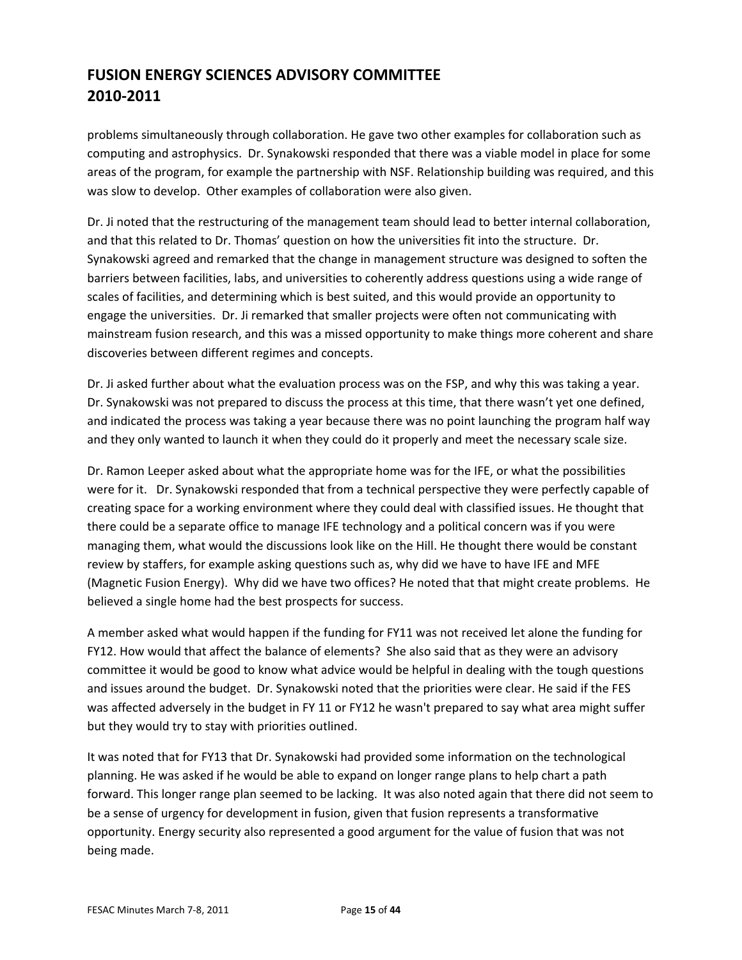problems simultaneously through collaboration. He gave two other examples for collaboration such as computing and astrophysics. Dr. Synakowski responded that there was a viable model in place for some areas of the program, for example the partnership with NSF. Relationship building was required, and this was slow to develop. Other examples of collaboration were also given.

Dr. Ji noted that the restructuring of the management team should lead to better internal collaboration, and that this related to Dr. Thomas' question on how the universities fit into the structure. Dr. Synakowski agreed and remarked that the change in management structure was designed to soften the barriers between facilities, labs, and universities to coherently address questions using a wide range of scales of facilities, and determining which is best suited, and this would provide an opportunity to engage the universities. Dr. Ji remarked that smaller projects were often not communicating with mainstream fusion research, and this was a missed opportunity to make things more coherent and share discoveries between different regimes and concepts.

Dr. Ji asked further about what the evaluation process was on the FSP, and why this was taking a year. Dr. Synakowski was not prepared to discuss the process at this time, that there wasn't yet one defined, and indicated the process was taking a year because there was no point launching the program half way and they only wanted to launch it when they could do it properly and meet the necessary scale size.

Dr. Ramon Leeper asked about what the appropriate home was for the IFE, or what the possibilities were for it. Dr. Synakowski responded that from a technical perspective they were perfectly capable of creating space for a working environment where they could deal with classified issues. He thought that there could be a separate office to manage IFE technology and a political concern was if you were managing them, what would the discussions look like on the Hill. He thought there would be constant review by staffers, for example asking questions such as, why did we have to have IFE and MFE (Magnetic Fusion Energy). Why did we have two offices? He noted that that might create problems. He believed a single home had the best prospects for success.

A member asked what would happen if the funding for FY11 was not received let alone the funding for FY12. How would that affect the balance of elements? She also said that as they were an advisory committee it would be good to know what advice would be helpful in dealing with the tough questions and issues around the budget. Dr. Synakowski noted that the priorities were clear. He said if the FES was affected adversely in the budget in FY 11 or FY12 he wasn't prepared to say what area might suffer but they would try to stay with priorities outlined.

It was noted that for FY13 that Dr. Synakowski had provided some information on the technological planning. He was asked if he would be able to expand on longer range plans to help chart a path forward. This longer range plan seemed to be lacking. It was also noted again that there did not seem to be a sense of urgency for development in fusion, given that fusion represents a transformative opportunity. Energy security also represented a good argument for the value of fusion that was not being made.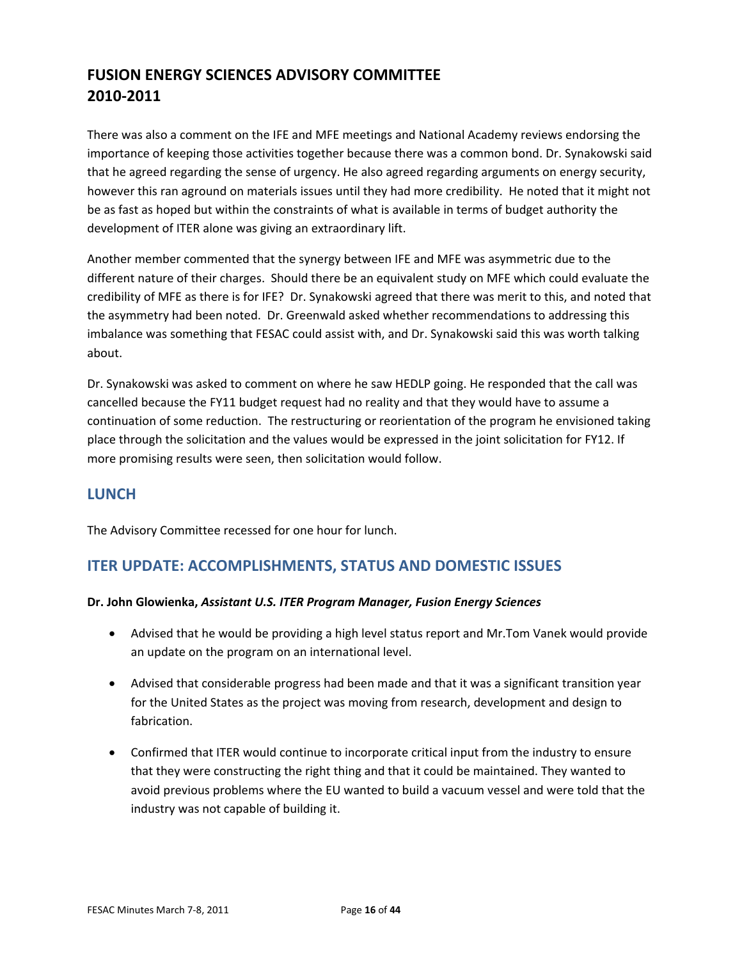There was also a comment on the IFE and MFE meetings and National Academy reviews endorsing the importance of keeping those activities together because there was a common bond. Dr. Synakowski said that he agreed regarding the sense of urgency. He also agreed regarding arguments on energy security, however this ran aground on materials issues until they had more credibility. He noted that it might not be as fast as hoped but within the constraints of what is available in terms of budget authority the development of ITER alone was giving an extraordinary lift.

Another member commented that the synergy between IFE and MFE was asymmetric due to the different nature of their charges. Should there be an equivalent study on MFE which could evaluate the credibility of MFE as there is for IFE? Dr. Synakowski agreed that there was merit to this, and noted that the asymmetry had been noted. Dr. Greenwald asked whether recommendations to addressing this imbalance was something that FESAC could assist with, and Dr. Synakowski said this was worth talking about.

Dr. Synakowski was asked to comment on where he saw HEDLP going. He responded that the call was cancelled because the FY11 budget request had no reality and that they would have to assume a continuation of some reduction. The restructuring or reorientation of the program he envisioned taking place through the solicitation and the values would be expressed in the joint solicitation for FY12. If more promising results were seen, then solicitation would follow.

### **LUNCH**

The Advisory Committee recessed for one hour for lunch.

### **ITER UPDATE: ACCOMPLISHMENTS, STATUS AND DOMESTIC ISSUES**

#### **Dr. John Glowienka,** *Assistant U.S. ITER Program Manager, Fusion Energy Sciences*

- Advised that he would be providing a high level status report and Mr.Tom Vanek would provide an update on the program on an international level.
- Advised that considerable progress had been made and that it was a significant transition year for the United States as the project was moving from research, development and design to fabrication.
- Confirmed that ITER would continue to incorporate critical input from the industry to ensure that they were constructing the right thing and that it could be maintained. They wanted to avoid previous problems where the EU wanted to build a vacuum vessel and were told that the industry was not capable of building it.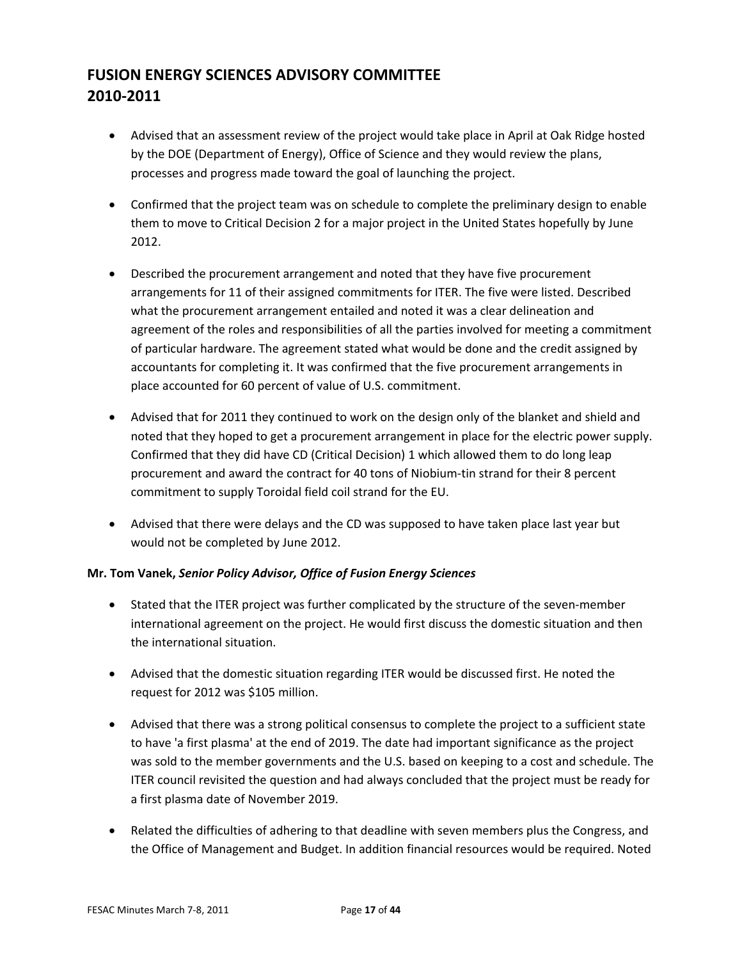- Advised that an assessment review of the project would take place in April at Oak Ridge hosted by the DOE (Department of Energy), Office of Science and they would review the plans, processes and progress made toward the goal of launching the project.
- Confirmed that the project team was on schedule to complete the preliminary design to enable them to move to Critical Decision 2 for a major project in the United States hopefully by June 2012.
- Described the procurement arrangement and noted that they have five procurement arrangements for 11 of their assigned commitments for ITER. The five were listed. Described what the procurement arrangement entailed and noted it was a clear delineation and agreement of the roles and responsibilities of all the parties involved for meeting a commitment of particular hardware. The agreement stated what would be done and the credit assigned by accountants for completing it. It was confirmed that the five procurement arrangements in place accounted for 60 percent of value of U.S. commitment.
- Advised that for 2011 they continued to work on the design only of the blanket and shield and noted that they hoped to get a procurement arrangement in place for the electric power supply. Confirmed that they did have CD (Critical Decision) 1 which allowed them to do long leap procurement and award the contract for 40 tons of Niobium‐tin strand for their 8 percent commitment to supply Toroidal field coil strand for the EU.
- Advised that there were delays and the CD was supposed to have taken place last year but would not be completed by June 2012.

### **Mr. Tom Vanek,** *Senior Policy Advisor, Office of Fusion Energy Sciences*

- Stated that the ITER project was further complicated by the structure of the seven-member international agreement on the project. He would first discuss the domestic situation and then the international situation.
- Advised that the domestic situation regarding ITER would be discussed first. He noted the request for 2012 was \$105 million.
- Advised that there was a strong political consensus to complete the project to a sufficient state to have 'a first plasma' at the end of 2019. The date had important significance as the project was sold to the member governments and the U.S. based on keeping to a cost and schedule. The ITER council revisited the question and had always concluded that the project must be ready for a first plasma date of November 2019.
- Related the difficulties of adhering to that deadline with seven members plus the Congress, and the Office of Management and Budget. In addition financial resources would be required. Noted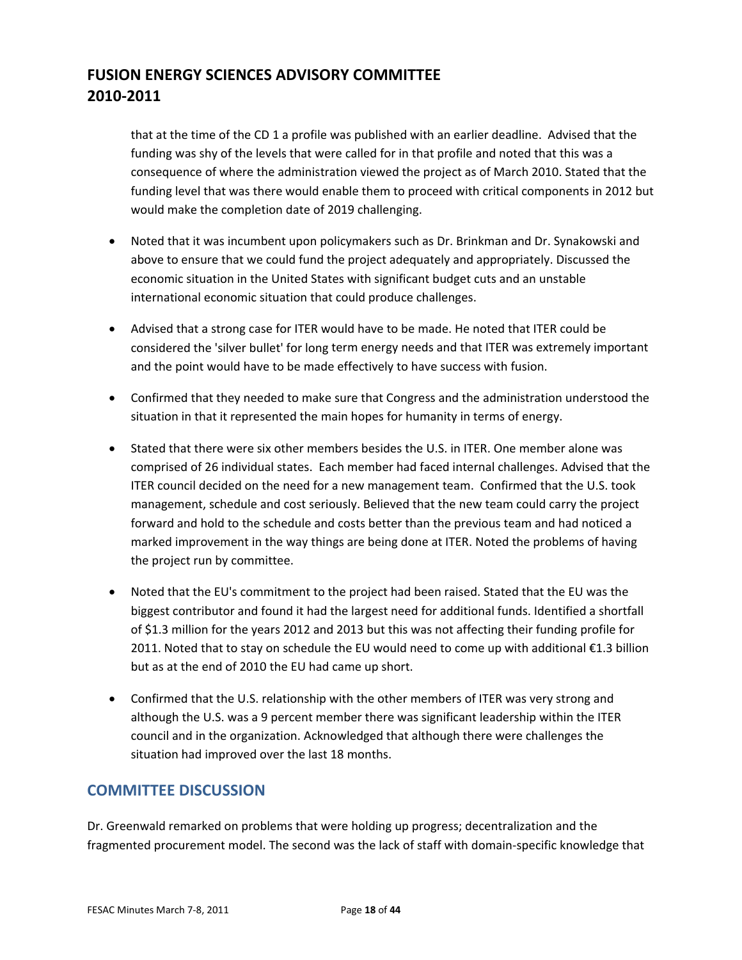that at the time of the CD 1 a profile was published with an earlier deadline. Advised that the funding was shy of the levels that were called for in that profile and noted that this was a consequence of where the administration viewed the project as of March 2010. Stated that the funding level that was there would enable them to proceed with critical components in 2012 but would make the completion date of 2019 challenging.

- Noted that it was incumbent upon policymakers such as Dr. Brinkman and Dr. Synakowski and above to ensure that we could fund the project adequately and appropriately. Discussed the economic situation in the United States with significant budget cuts and an unstable international economic situation that could produce challenges.
- Advised that a strong case for ITER would have to be made. He noted that ITER could be considered the 'silver bullet' for long term energy needs and that ITER was extremely important and the point would have to be made effectively to have success with fusion.
- Confirmed that they needed to make sure that Congress and the administration understood the situation in that it represented the main hopes for humanity in terms of energy.
- Stated that there were six other members besides the U.S. in ITER. One member alone was comprised of 26 individual states. Each member had faced internal challenges. Advised that the ITER council decided on the need for a new management team. Confirmed that the U.S. took management, schedule and cost seriously. Believed that the new team could carry the project forward and hold to the schedule and costs better than the previous team and had noticed a marked improvement in the way things are being done at ITER. Noted the problems of having the project run by committee.
- Noted that the EU's commitment to the project had been raised. Stated that the EU was the biggest contributor and found it had the largest need for additional funds. Identified a shortfall of \$1.3 million for the years 2012 and 2013 but this was not affecting their funding profile for 2011. Noted that to stay on schedule the EU would need to come up with additional €1.3 billion but as at the end of 2010 the EU had came up short.
- Confirmed that the U.S. relationship with the other members of ITER was very strong and although the U.S. was a 9 percent member there was significant leadership within the ITER council and in the organization. Acknowledged that although there were challenges the situation had improved over the last 18 months.

### **COMMITTEE DISCUSSION**

Dr. Greenwald remarked on problems that were holding up progress; decentralization and the fragmented procurement model. The second was the lack of staff with domain‐specific knowledge that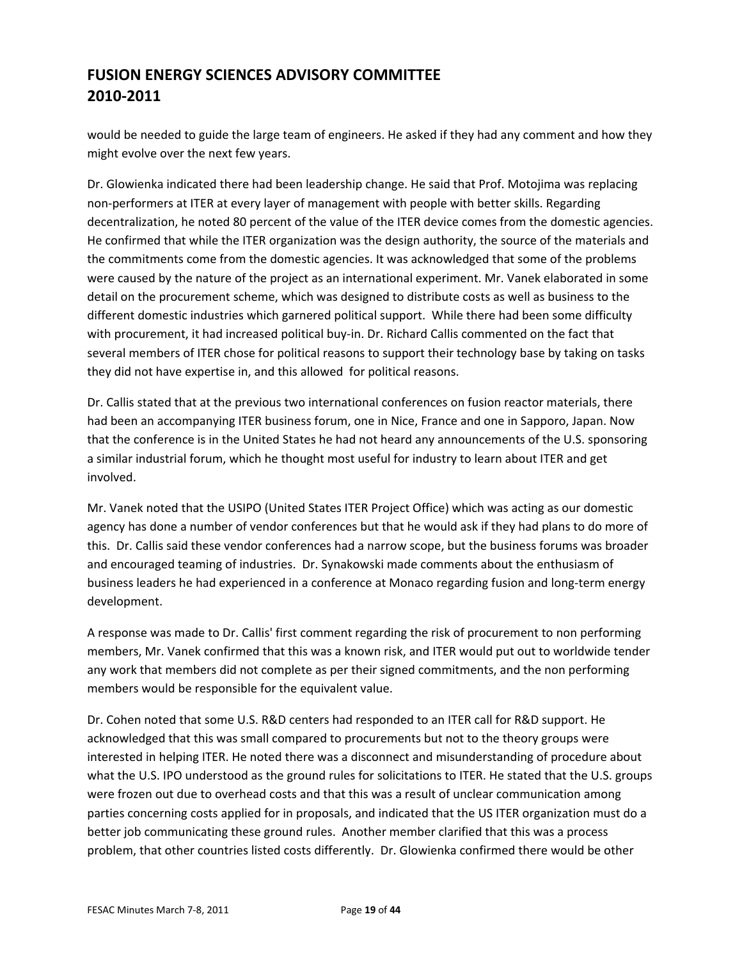would be needed to guide the large team of engineers. He asked if they had any comment and how they might evolve over the next few years.

Dr. Glowienka indicated there had been leadership change. He said that Prof. Motojima was replacing non‐performers at ITER at every layer of management with people with better skills. Regarding decentralization, he noted 80 percent of the value of the ITER device comes from the domestic agencies. He confirmed that while the ITER organization was the design authority, the source of the materials and the commitments come from the domestic agencies. It was acknowledged that some of the problems were caused by the nature of the project as an international experiment. Mr. Vanek elaborated in some detail on the procurement scheme, which was designed to distribute costs as well as business to the different domestic industries which garnered political support. While there had been some difficulty with procurement, it had increased political buy‐in. Dr. Richard Callis commented on the fact that several members of ITER chose for political reasons to support their technology base by taking on tasks they did not have expertise in, and this allowed for political reasons.

Dr. Callis stated that at the previous two international conferences on fusion reactor materials, there had been an accompanying ITER business forum, one in Nice, France and one in Sapporo, Japan. Now that the conference is in the United States he had not heard any announcements of the U.S. sponsoring a similar industrial forum, which he thought most useful for industry to learn about ITER and get involved.

Mr. Vanek noted that the USIPO (United States ITER Project Office) which was acting as our domestic agency has done a number of vendor conferences but that he would ask if they had plans to do more of this. Dr. Callis said these vendor conferences had a narrow scope, but the business forums was broader and encouraged teaming of industries. Dr. Synakowski made comments about the enthusiasm of business leaders he had experienced in a conference at Monaco regarding fusion and long‐term energy development.

A response was made to Dr. Callis' first comment regarding the risk of procurement to non performing members, Mr. Vanek confirmed that this was a known risk, and ITER would put out to worldwide tender any work that members did not complete as per their signed commitments, and the non performing members would be responsible for the equivalent value.

Dr. Cohen noted that some U.S. R&D centers had responded to an ITER call for R&D support. He acknowledged that this was small compared to procurements but not to the theory groups were interested in helping ITER. He noted there was a disconnect and misunderstanding of procedure about what the U.S. IPO understood as the ground rules for solicitations to ITER. He stated that the U.S. groups were frozen out due to overhead costs and that this was a result of unclear communication among parties concerning costs applied for in proposals, and indicated that the US ITER organization must do a better job communicating these ground rules. Another member clarified that this was a process problem, that other countries listed costs differently. Dr. Glowienka confirmed there would be other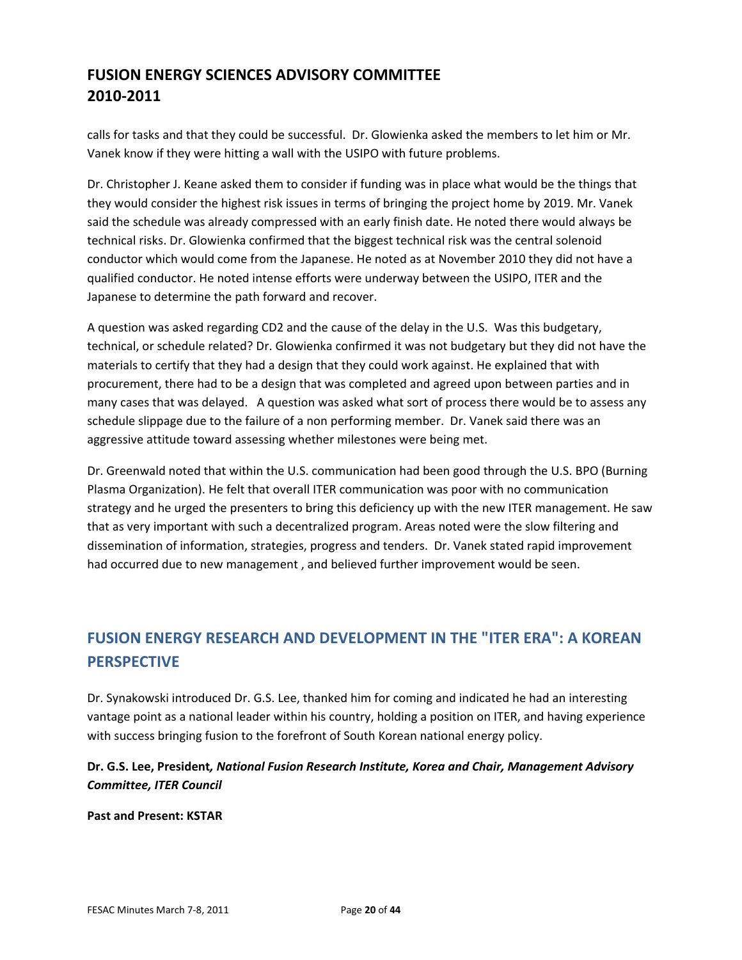calls for tasks and that they could be successful. Dr. Glowienka asked the members to let him or Mr. Vanek know if they were hitting a wall with the USIPO with future problems.

Dr. Christopher J. Keane asked them to consider if funding was in place what would be the things that they would consider the highest risk issues in terms of bringing the project home by 2019. Mr. Vanek said the schedule was already compressed with an early finish date. He noted there would always be technical risks. Dr. Glowienka confirmed that the biggest technical risk was the central solenoid conductor which would come from the Japanese. He noted as at November 2010 they did not have a qualified conductor. He noted intense efforts were underway between the USIPO, ITER and the Japanese to determine the path forward and recover.

A question was asked regarding CD2 and the cause of the delay in the U.S. Was this budgetary, technical, or schedule related? Dr. Glowienka confirmed it was not budgetary but they did not have the materials to certify that they had a design that they could work against. He explained that with procurement, there had to be a design that was completed and agreed upon between parties and in many cases that was delayed. A question was asked what sort of process there would be to assess any schedule slippage due to the failure of a non performing member. Dr. Vanek said there was an aggressive attitude toward assessing whether milestones were being met.

Dr. Greenwald noted that within the U.S. communication had been good through the U.S. BPO (Burning Plasma Organization). He felt that overall ITER communication was poor with no communication strategy and he urged the presenters to bring this deficiency up with the new ITER management. He saw that as very important with such a decentralized program. Areas noted were the slow filtering and dissemination of information, strategies, progress and tenders. Dr. Vanek stated rapid improvement had occurred due to new management , and believed further improvement would be seen.

# **FUSION ENERGY RESEARCH AND DEVELOPMENT IN THE "ITER ERA": A KOREAN PERSPECTIVE**

Dr. Synakowski introduced Dr. G.S. Lee, thanked him for coming and indicated he had an interesting vantage point as a national leader within his country, holding a position on ITER, and having experience with success bringing fusion to the forefront of South Korean national energy policy.

### **Dr. G.S. Lee, President***, National Fusion Research Institute, Korea and Chair, Management Advisory Committee, ITER Council*

**Past and Present: KSTAR**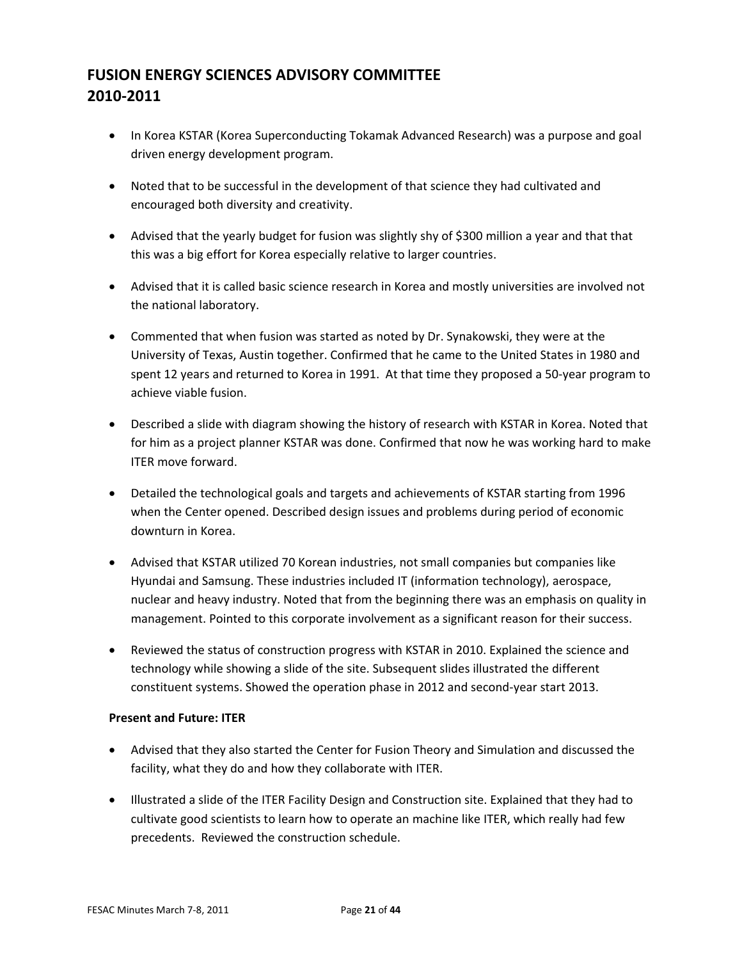- In Korea KSTAR (Korea Superconducting Tokamak Advanced Research) was a purpose and goal driven energy development program.
- Noted that to be successful in the development of that science they had cultivated and encouraged both diversity and creativity.
- Advised that the yearly budget for fusion was slightly shy of \$300 million a year and that that this was a big effort for Korea especially relative to larger countries.
- Advised that it is called basic science research in Korea and mostly universities are involved not the national laboratory.
- Commented that when fusion was started as noted by Dr. Synakowski, they were at the University of Texas, Austin together. Confirmed that he came to the United States in 1980 and spent 12 years and returned to Korea in 1991. At that time they proposed a 50-year program to achieve viable fusion.
- Described a slide with diagram showing the history of research with KSTAR in Korea. Noted that for him as a project planner KSTAR was done. Confirmed that now he was working hard to make ITER move forward.
- Detailed the technological goals and targets and achievements of KSTAR starting from 1996 when the Center opened. Described design issues and problems during period of economic downturn in Korea.
- Advised that KSTAR utilized 70 Korean industries, not small companies but companies like Hyundai and Samsung. These industries included IT (information technology), aerospace, nuclear and heavy industry. Noted that from the beginning there was an emphasis on quality in management. Pointed to this corporate involvement as a significant reason for their success.
- Reviewed the status of construction progress with KSTAR in 2010. Explained the science and technology while showing a slide of the site. Subsequent slides illustrated the different constituent systems. Showed the operation phase in 2012 and second‐year start 2013.

#### **Present and Future: ITER**

- Advised that they also started the Center for Fusion Theory and Simulation and discussed the facility, what they do and how they collaborate with ITER.
- Illustrated a slide of the ITER Facility Design and Construction site. Explained that they had to cultivate good scientists to learn how to operate an machine like ITER, which really had few precedents. Reviewed the construction schedule.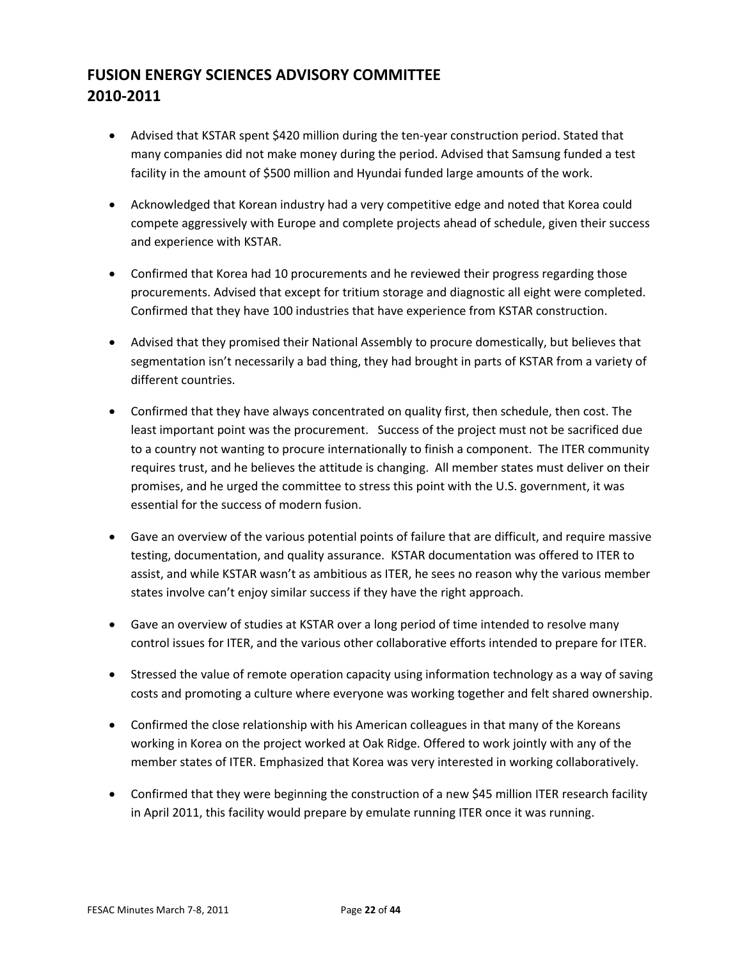- Advised that KSTAR spent \$420 million during the ten-year construction period. Stated that many companies did not make money during the period. Advised that Samsung funded a test facility in the amount of \$500 million and Hyundai funded large amounts of the work.
- Acknowledged that Korean industry had a very competitive edge and noted that Korea could compete aggressively with Europe and complete projects ahead of schedule, given their success and experience with KSTAR.
- Confirmed that Korea had 10 procurements and he reviewed their progress regarding those procurements. Advised that except for tritium storage and diagnostic all eight were completed. Confirmed that they have 100 industries that have experience from KSTAR construction.
- Advised that they promised their National Assembly to procure domestically, but believes that segmentation isn't necessarily a bad thing, they had brought in parts of KSTAR from a variety of different countries.
- Confirmed that they have always concentrated on quality first, then schedule, then cost. The least important point was the procurement. Success of the project must not be sacrificed due to a country not wanting to procure internationally to finish a component. The ITER community requires trust, and he believes the attitude is changing. All member states must deliver on their promises, and he urged the committee to stress this point with the U.S. government, it was essential for the success of modern fusion.
- Gave an overview of the various potential points of failure that are difficult, and require massive testing, documentation, and quality assurance. KSTAR documentation was offered to ITER to assist, and while KSTAR wasn't as ambitious as ITER, he sees no reason why the various member states involve can't enjoy similar success if they have the right approach.
- Gave an overview of studies at KSTAR over a long period of time intended to resolve many control issues for ITER, and the various other collaborative efforts intended to prepare for ITER.
- Stressed the value of remote operation capacity using information technology as a way of saving costs and promoting a culture where everyone was working together and felt shared ownership.
- Confirmed the close relationship with his American colleagues in that many of the Koreans working in Korea on the project worked at Oak Ridge. Offered to work jointly with any of the member states of ITER. Emphasized that Korea was very interested in working collaboratively.
- Confirmed that they were beginning the construction of a new \$45 million ITER research facility in April 2011, this facility would prepare by emulate running ITER once it was running.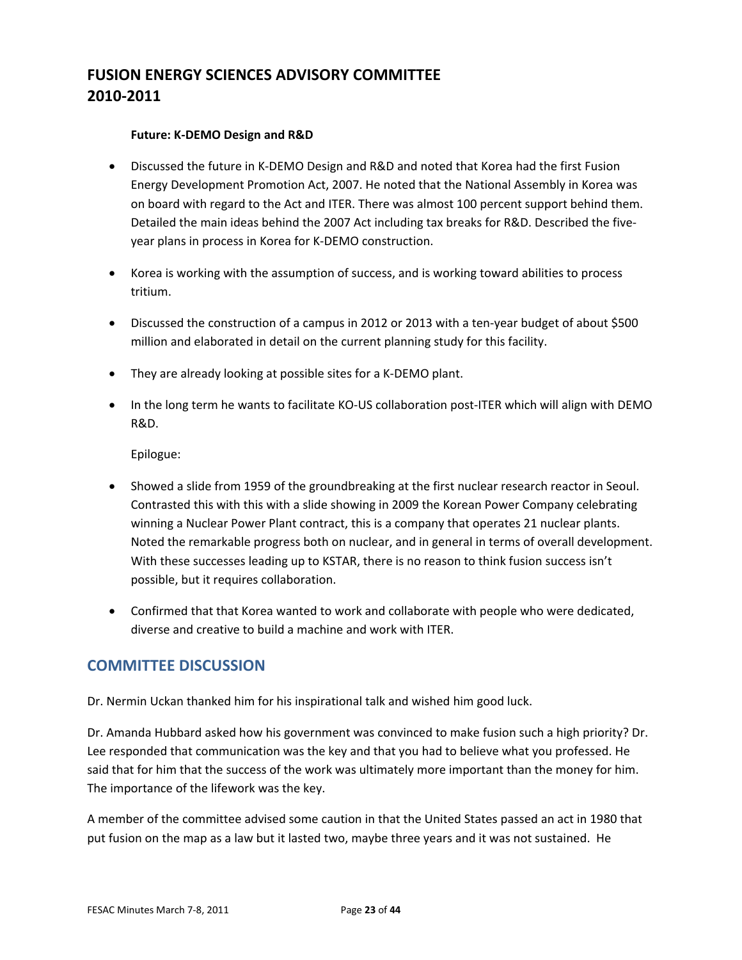#### **Future: K‐DEMO Design and R&D**

- Discussed the future in K-DEMO Design and R&D and noted that Korea had the first Fusion Energy Development Promotion Act, 2007. He noted that the National Assembly in Korea was on board with regard to the Act and ITER. There was almost 100 percent support behind them. Detailed the main ideas behind the 2007 Act including tax breaks for R&D. Described the five‐ year plans in process in Korea for K‐DEMO construction.
- Korea is working with the assumption of success, and is working toward abilities to process tritium.
- Discussed the construction of a campus in 2012 or 2013 with a ten-year budget of about \$500 million and elaborated in detail on the current planning study for this facility.
- They are already looking at possible sites for a K‐DEMO plant.
- In the long term he wants to facilitate KO-US collaboration post-ITER which will align with DEMO R&D.

Epilogue:

- Showed a slide from 1959 of the groundbreaking at the first nuclear research reactor in Seoul. Contrasted this with this with a slide showing in 2009 the Korean Power Company celebrating winning a Nuclear Power Plant contract, this is a company that operates 21 nuclear plants. Noted the remarkable progress both on nuclear, and in general in terms of overall development. With these successes leading up to KSTAR, there is no reason to think fusion success isn't possible, but it requires collaboration.
- Confirmed that that Korea wanted to work and collaborate with people who were dedicated, diverse and creative to build a machine and work with ITER.

### **COMMITTEE DISCUSSION**

Dr. Nermin Uckan thanked him for his inspirational talk and wished him good luck.

Dr. Amanda Hubbard asked how his government was convinced to make fusion such a high priority? Dr. Lee responded that communication was the key and that you had to believe what you professed. He said that for him that the success of the work was ultimately more important than the money for him. The importance of the lifework was the key.

A member of the committee advised some caution in that the United States passed an act in 1980 that put fusion on the map as a law but it lasted two, maybe three years and it was not sustained. He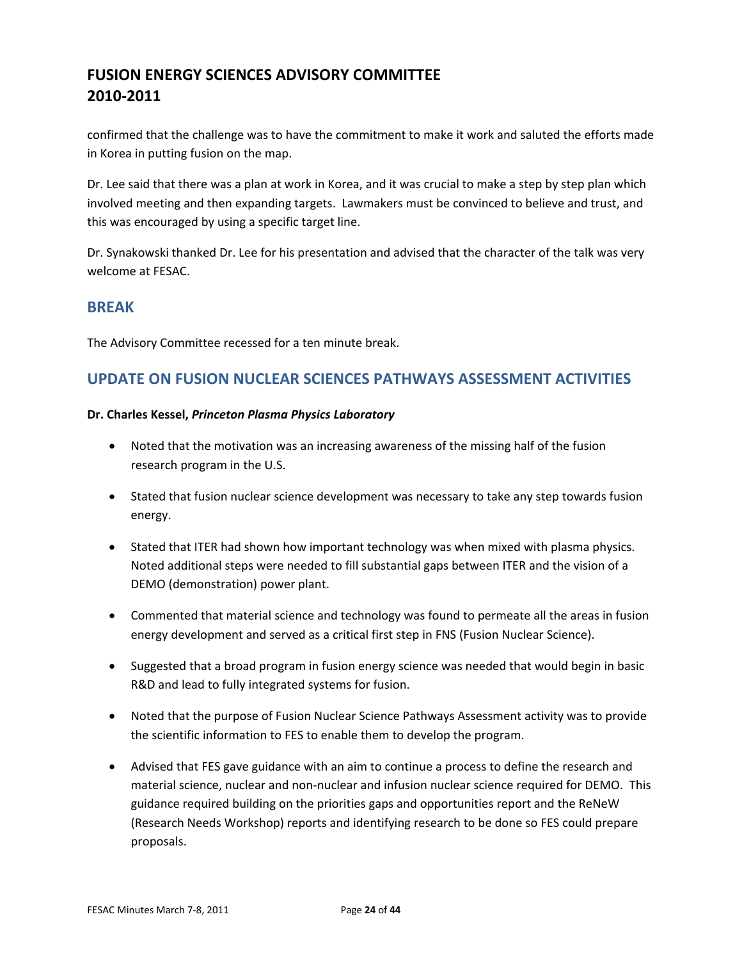confirmed that the challenge was to have the commitment to make it work and saluted the efforts made in Korea in putting fusion on the map.

Dr. Lee said that there was a plan at work in Korea, and it was crucial to make a step by step plan which involved meeting and then expanding targets. Lawmakers must be convinced to believe and trust, and this was encouraged by using a specific target line.

Dr. Synakowski thanked Dr. Lee for his presentation and advised that the character of the talk was very welcome at FESAC.

### **BREAK**

The Advisory Committee recessed for a ten minute break.

### **UPDATE ON FUSION NUCLEAR SCIENCES PATHWAYS ASSESSMENT ACTIVITIES**

#### **Dr. Charles Kessel,** *Princeton Plasma Physics Laboratory*

- Noted that the motivation was an increasing awareness of the missing half of the fusion research program in the U.S.
- Stated that fusion nuclear science development was necessary to take any step towards fusion energy.
- Stated that ITER had shown how important technology was when mixed with plasma physics. Noted additional steps were needed to fill substantial gaps between ITER and the vision of a DEMO (demonstration) power plant.
- Commented that material science and technology was found to permeate all the areas in fusion energy development and served as a critical first step in FNS (Fusion Nuclear Science).
- Suggested that a broad program in fusion energy science was needed that would begin in basic R&D and lead to fully integrated systems for fusion.
- Noted that the purpose of Fusion Nuclear Science Pathways Assessment activity was to provide the scientific information to FES to enable them to develop the program.
- Advised that FES gave guidance with an aim to continue a process to define the research and material science, nuclear and non‐nuclear and infusion nuclear science required for DEMO. This guidance required building on the priorities gaps and opportunities report and the ReNeW (Research Needs Workshop) reports and identifying research to be done so FES could prepare proposals.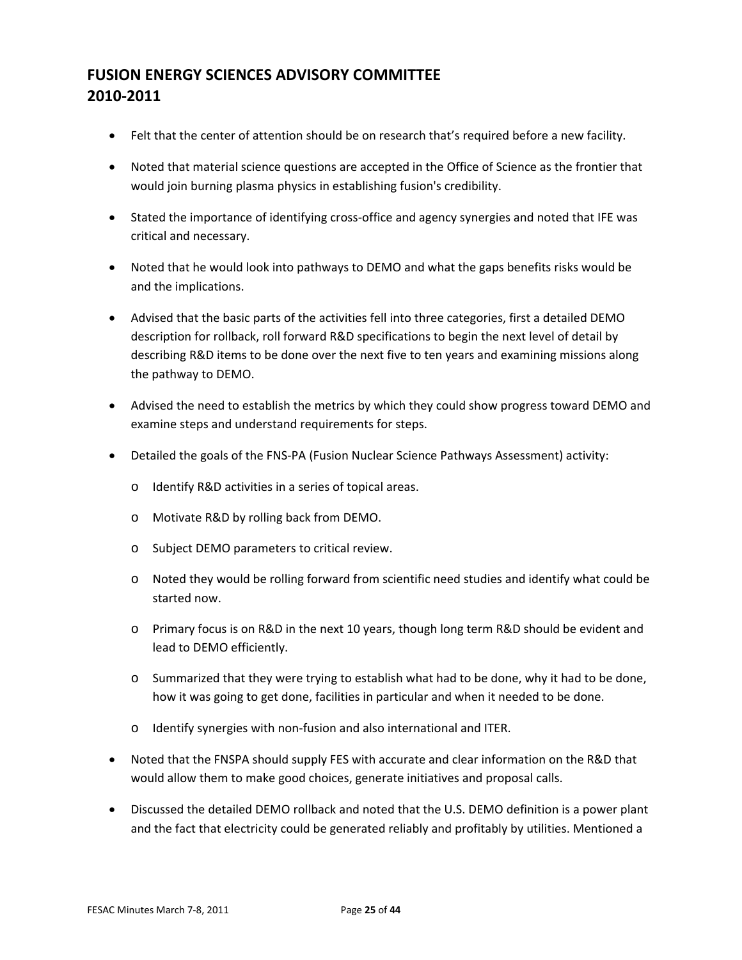- Felt that the center of attention should be on research that's required before a new facility.
- Noted that material science questions are accepted in the Office of Science as the frontier that would join burning plasma physics in establishing fusion's credibility.
- Stated the importance of identifying cross-office and agency synergies and noted that IFE was critical and necessary.
- Noted that he would look into pathways to DEMO and what the gaps benefits risks would be and the implications.
- Advised that the basic parts of the activities fell into three categories, first a detailed DEMO description for rollback, roll forward R&D specifications to begin the next level of detail by describing R&D items to be done over the next five to ten years and examining missions along the pathway to DEMO.
- Advised the need to establish the metrics by which they could show progress toward DEMO and examine steps and understand requirements for steps.
- Detailed the goals of the FNS-PA (Fusion Nuclear Science Pathways Assessment) activity:
	- o Identify R&D activities in a series of topical areas.
	- o Motivate R&D by rolling back from DEMO.
	- o Subject DEMO parameters to critical review.
	- o Noted they would be rolling forward from scientific need studies and identify what could be started now.
	- o Primary focus is on R&D in the next 10 years, though long term R&D should be evident and lead to DEMO efficiently.
	- o Summarized that they were trying to establish what had to be done, why it had to be done, how it was going to get done, facilities in particular and when it needed to be done.
	- o Identify synergies with non‐fusion and also international and ITER.
- Noted that the FNSPA should supply FES with accurate and clear information on the R&D that would allow them to make good choices, generate initiatives and proposal calls.
- Discussed the detailed DEMO rollback and noted that the U.S. DEMO definition is a power plant and the fact that electricity could be generated reliably and profitably by utilities. Mentioned a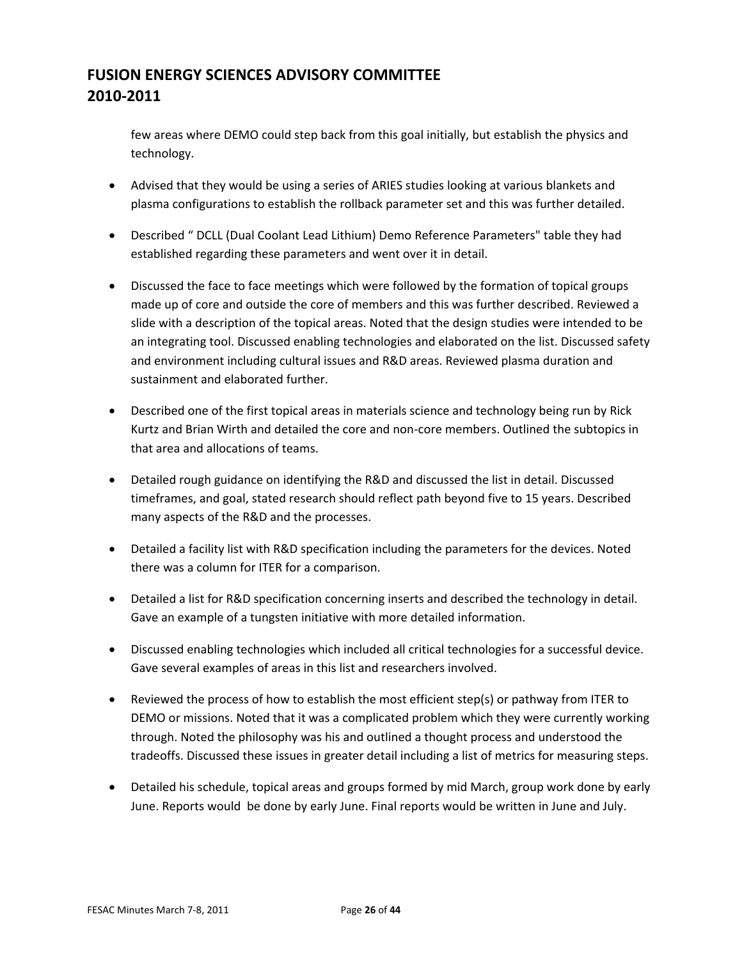few areas where DEMO could step back from this goal initially, but establish the physics and technology.

- Advised that they would be using a series of ARIES studies looking at various blankets and plasma configurations to establish the rollback parameter set and this was further detailed.
- Described " DCLL (Dual Coolant Lead Lithium) Demo Reference Parameters" table they had established regarding these parameters and went over it in detail.
- Discussed the face to face meetings which were followed by the formation of topical groups made up of core and outside the core of members and this was further described. Reviewed a slide with a description of the topical areas. Noted that the design studies were intended to be an integrating tool. Discussed enabling technologies and elaborated on the list. Discussed safety and environment including cultural issues and R&D areas. Reviewed plasma duration and sustainment and elaborated further.
- Described one of the first topical areas in materials science and technology being run by Rick Kurtz and Brian Wirth and detailed the core and non‐core members. Outlined the subtopics in that area and allocations of teams.
- Detailed rough guidance on identifying the R&D and discussed the list in detail. Discussed timeframes, and goal, stated research should reflect path beyond five to 15 years. Described many aspects of the R&D and the processes.
- Detailed a facility list with R&D specification including the parameters for the devices. Noted there was a column for ITER for a comparison.
- Detailed a list for R&D specification concerning inserts and described the technology in detail. Gave an example of a tungsten initiative with more detailed information.
- Discussed enabling technologies which included all critical technologies for a successful device. Gave several examples of areas in this list and researchers involved.
- Reviewed the process of how to establish the most efficient step(s) or pathway from ITER to DEMO or missions. Noted that it was a complicated problem which they were currently working through. Noted the philosophy was his and outlined a thought process and understood the tradeoffs. Discussed these issues in greater detail including a list of metrics for measuring steps.
- Detailed his schedule, topical areas and groups formed by mid March, group work done by early June. Reports would be done by early June. Final reports would be written in June and July.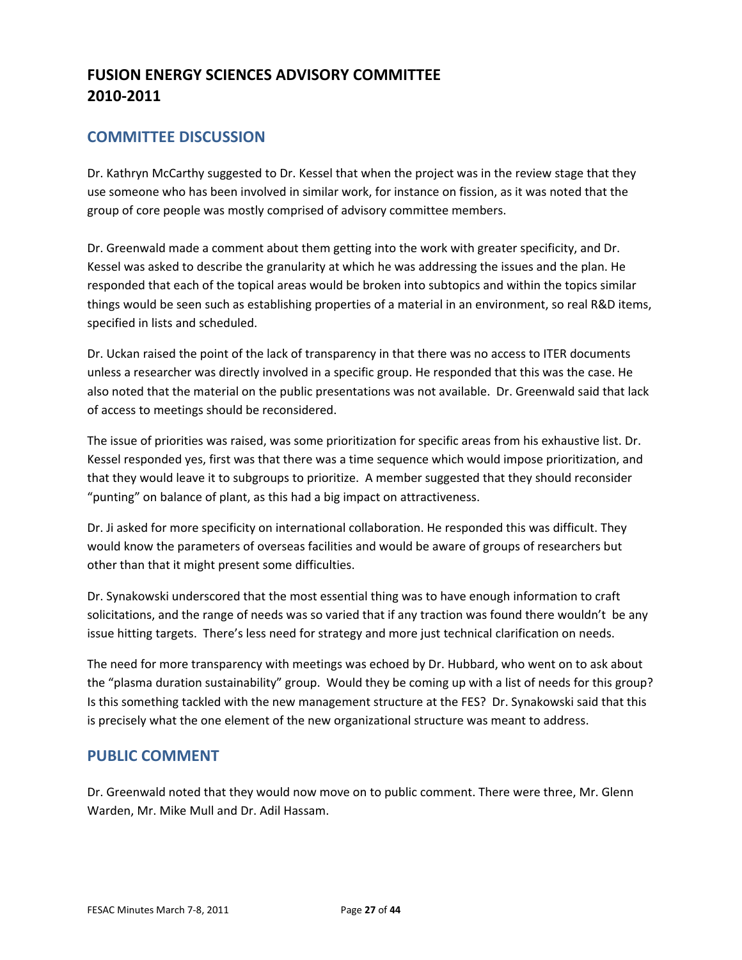### **COMMITTEE DISCUSSION**

Dr. Kathryn McCarthy suggested to Dr. Kessel that when the project was in the review stage that they use someone who has been involved in similar work, for instance on fission, as it was noted that the group of core people was mostly comprised of advisory committee members.

Dr. Greenwald made a comment about them getting into the work with greater specificity, and Dr. Kessel was asked to describe the granularity at which he was addressing the issues and the plan. He responded that each of the topical areas would be broken into subtopics and within the topics similar things would be seen such as establishing properties of a material in an environment, so real R&D items, specified in lists and scheduled.

Dr. Uckan raised the point of the lack of transparency in that there was no access to ITER documents unless a researcher was directly involved in a specific group. He responded that this was the case. He also noted that the material on the public presentations was not available. Dr. Greenwald said that lack of access to meetings should be reconsidered.

The issue of priorities was raised, was some prioritization for specific areas from his exhaustive list. Dr. Kessel responded yes, first was that there was a time sequence which would impose prioritization, and that they would leave it to subgroups to prioritize. A member suggested that they should reconsider "punting" on balance of plant, as this had a big impact on attractiveness.

Dr. Ji asked for more specificity on international collaboration. He responded this was difficult. They would know the parameters of overseas facilities and would be aware of groups of researchers but other than that it might present some difficulties.

Dr. Synakowski underscored that the most essential thing was to have enough information to craft solicitations, and the range of needs was so varied that if any traction was found there wouldn't be any issue hitting targets. There's less need for strategy and more just technical clarification on needs.

The need for more transparency with meetings was echoed by Dr. Hubbard, who went on to ask about the "plasma duration sustainability" group. Would they be coming up with a list of needs for this group? Is this something tackled with the new management structure at the FES? Dr. Synakowski said that this is precisely what the one element of the new organizational structure was meant to address.

### **PUBLIC COMMENT**

Dr. Greenwald noted that they would now move on to public comment. There were three, Mr. Glenn Warden, Mr. Mike Mull and Dr. Adil Hassam.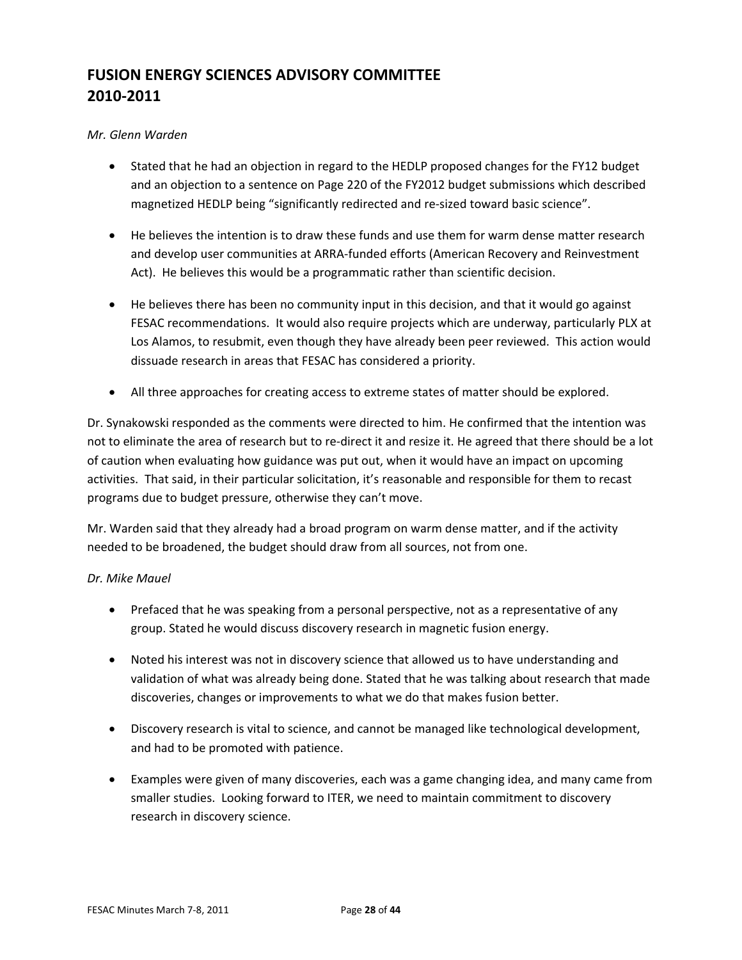#### *Mr. Glenn Warden*

- Stated that he had an objection in regard to the HEDLP proposed changes for the FY12 budget and an objection to a sentence on Page 220 of the FY2012 budget submissions which described magnetized HEDLP being "significantly redirected and re-sized toward basic science".
- He believes the intention is to draw these funds and use them for warm dense matter research and develop user communities at ARRA‐funded efforts (American Recovery and Reinvestment Act). He believes this would be a programmatic rather than scientific decision.
- He believes there has been no community input in this decision, and that it would go against FESAC recommendations. It would also require projects which are underway, particularly PLX at Los Alamos, to resubmit, even though they have already been peer reviewed. This action would dissuade research in areas that FESAC has considered a priority.
- All three approaches for creating access to extreme states of matter should be explored.

Dr. Synakowski responded as the comments were directed to him. He confirmed that the intention was not to eliminate the area of research but to re‐direct it and resize it. He agreed that there should be a lot of caution when evaluating how guidance was put out, when it would have an impact on upcoming activities. That said, in their particular solicitation, it's reasonable and responsible for them to recast programs due to budget pressure, otherwise they can't move.

Mr. Warden said that they already had a broad program on warm dense matter, and if the activity needed to be broadened, the budget should draw from all sources, not from one.

#### *Dr. Mike Mauel*

- Prefaced that he was speaking from a personal perspective, not as a representative of any group. Stated he would discuss discovery research in magnetic fusion energy.
- Noted his interest was not in discovery science that allowed us to have understanding and validation of what was already being done. Stated that he was talking about research that made discoveries, changes or improvements to what we do that makes fusion better.
- Discovery research is vital to science, and cannot be managed like technological development, and had to be promoted with patience.
- Examples were given of many discoveries, each was a game changing idea, and many came from smaller studies. Looking forward to ITER, we need to maintain commitment to discovery research in discovery science.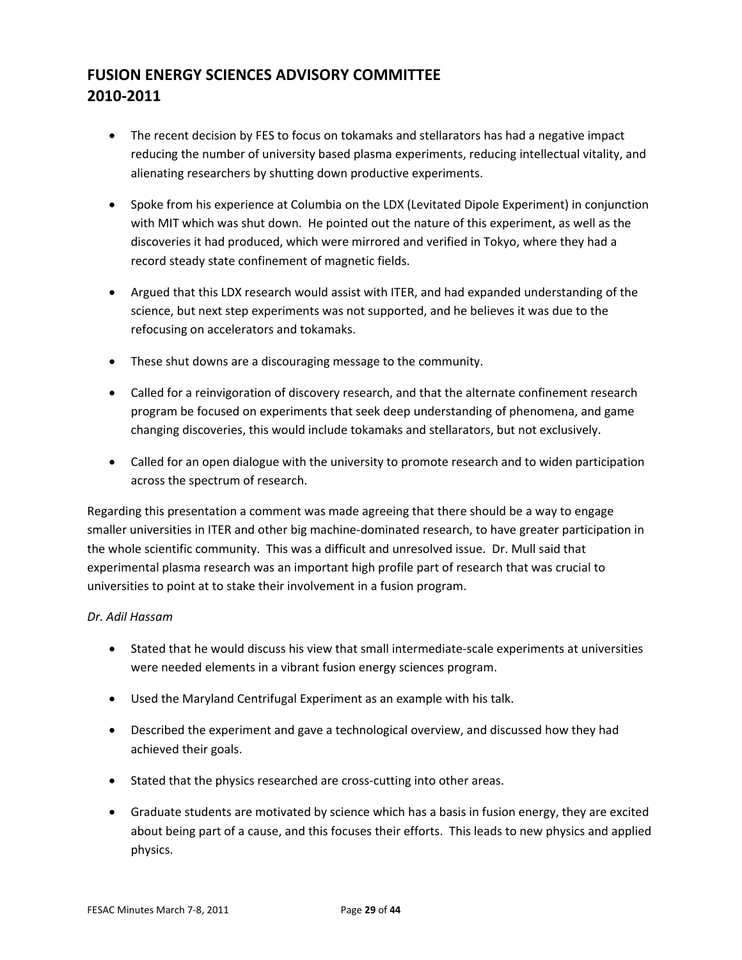- The recent decision by FES to focus on tokamaks and stellarators has had a negative impact reducing the number of university based plasma experiments, reducing intellectual vitality, and alienating researchers by shutting down productive experiments.
- Spoke from his experience at Columbia on the LDX (Levitated Dipole Experiment) in conjunction with MIT which was shut down. He pointed out the nature of this experiment, as well as the discoveries it had produced, which were mirrored and verified in Tokyo, where they had a record steady state confinement of magnetic fields.
- Argued that this LDX research would assist with ITER, and had expanded understanding of the science, but next step experiments was not supported, and he believes it was due to the refocusing on accelerators and tokamaks.
- These shut downs are a discouraging message to the community.
- Called for a reinvigoration of discovery research, and that the alternate confinement research program be focused on experiments that seek deep understanding of phenomena, and game changing discoveries, this would include tokamaks and stellarators, but not exclusively.
- Called for an open dialogue with the university to promote research and to widen participation across the spectrum of research.

Regarding this presentation a comment was made agreeing that there should be a way to engage smaller universities in ITER and other big machine‐dominated research, to have greater participation in the whole scientific community. This was a difficult and unresolved issue. Dr. Mull said that experimental plasma research was an important high profile part of research that was crucial to universities to point at to stake their involvement in a fusion program.

#### *Dr. Adil Hassam*

- Stated that he would discuss his view that small intermediate-scale experiments at universities were needed elements in a vibrant fusion energy sciences program.
- Used the Maryland Centrifugal Experiment as an example with his talk.
- Described the experiment and gave a technological overview, and discussed how they had achieved their goals.
- Stated that the physics researched are cross-cutting into other areas.
- Graduate students are motivated by science which has a basis in fusion energy, they are excited about being part of a cause, and this focuses their efforts. This leads to new physics and applied physics.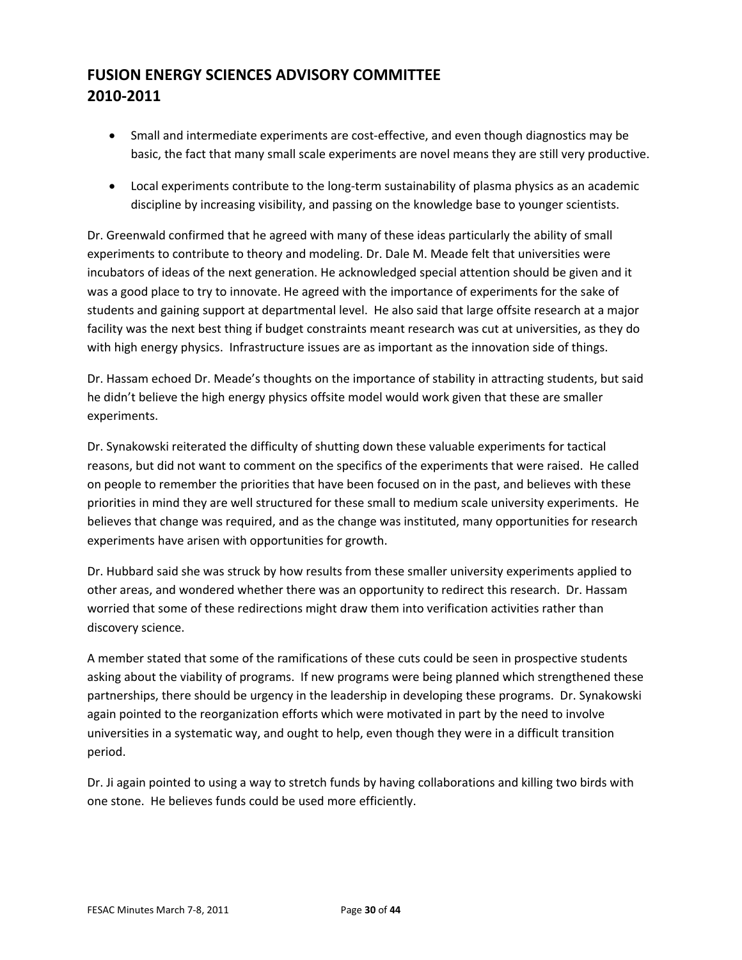- Small and intermediate experiments are cost-effective, and even though diagnostics may be basic, the fact that many small scale experiments are novel means they are still very productive.
- Local experiments contribute to the long-term sustainability of plasma physics as an academic discipline by increasing visibility, and passing on the knowledge base to younger scientists.

Dr. Greenwald confirmed that he agreed with many of these ideas particularly the ability of small experiments to contribute to theory and modeling. Dr. Dale M. Meade felt that universities were incubators of ideas of the next generation. He acknowledged special attention should be given and it was a good place to try to innovate. He agreed with the importance of experiments for the sake of students and gaining support at departmental level. He also said that large offsite research at a major facility was the next best thing if budget constraints meant research was cut at universities, as they do with high energy physics. Infrastructure issues are as important as the innovation side of things.

Dr. Hassam echoed Dr. Meade's thoughts on the importance of stability in attracting students, but said he didn't believe the high energy physics offsite model would work given that these are smaller experiments.

Dr. Synakowski reiterated the difficulty of shutting down these valuable experiments for tactical reasons, but did not want to comment on the specifics of the experiments that were raised. He called on people to remember the priorities that have been focused on in the past, and believes with these priorities in mind they are well structured for these small to medium scale university experiments. He believes that change was required, and as the change was instituted, many opportunities for research experiments have arisen with opportunities for growth.

Dr. Hubbard said she was struck by how results from these smaller university experiments applied to other areas, and wondered whether there was an opportunity to redirect this research. Dr. Hassam worried that some of these redirections might draw them into verification activities rather than discovery science.

A member stated that some of the ramifications of these cuts could be seen in prospective students asking about the viability of programs. If new programs were being planned which strengthened these partnerships, there should be urgency in the leadership in developing these programs. Dr. Synakowski again pointed to the reorganization efforts which were motivated in part by the need to involve universities in a systematic way, and ought to help, even though they were in a difficult transition period.

Dr. Ji again pointed to using a way to stretch funds by having collaborations and killing two birds with one stone. He believes funds could be used more efficiently.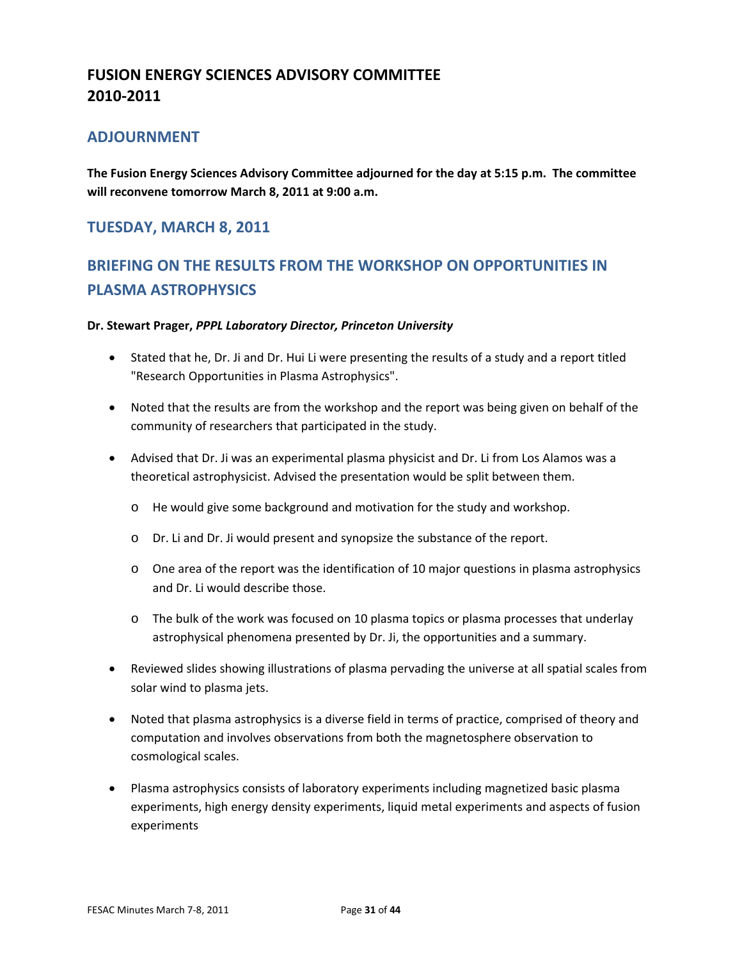### **ADJOURNMENT**

**The Fusion Energy Sciences Advisory Committee adjourned for the day at 5:15 p.m. The committee will reconvene tomorrow March 8, 2011 at 9:00 a.m.**

### **TUESDAY, MARCH 8, 2011**

# **BRIEFING ON THE RESULTS FROM THE WORKSHOP ON OPPORTUNITIES IN PLASMA ASTROPHYSICS**

#### **Dr. Stewart Prager,** *PPPL Laboratory Director, Princeton University*

- Stated that he, Dr. Ji and Dr. Hui Li were presenting the results of a study and a report titled "Research Opportunities in Plasma Astrophysics".
- Noted that the results are from the workshop and the report was being given on behalf of the community of researchers that participated in the study.
- Advised that Dr. Ji was an experimental plasma physicist and Dr. Li from Los Alamos was a theoretical astrophysicist. Advised the presentation would be split between them.
	- o He would give some background and motivation for the study and workshop.
	- o Dr. Li and Dr. Ji would present and synopsize the substance of the report.
	- $\circ$  One area of the report was the identification of 10 major questions in plasma astrophysics and Dr. Li would describe those.
	- o The bulk of the work was focused on 10 plasma topics or plasma processes that underlay astrophysical phenomena presented by Dr. Ji, the opportunities and a summary.
- Reviewed slides showing illustrations of plasma pervading the universe at all spatial scales from solar wind to plasma jets.
- Noted that plasma astrophysics is a diverse field in terms of practice, comprised of theory and computation and involves observations from both the magnetosphere observation to cosmological scales.
- Plasma astrophysics consists of laboratory experiments including magnetized basic plasma experiments, high energy density experiments, liquid metal experiments and aspects of fusion experiments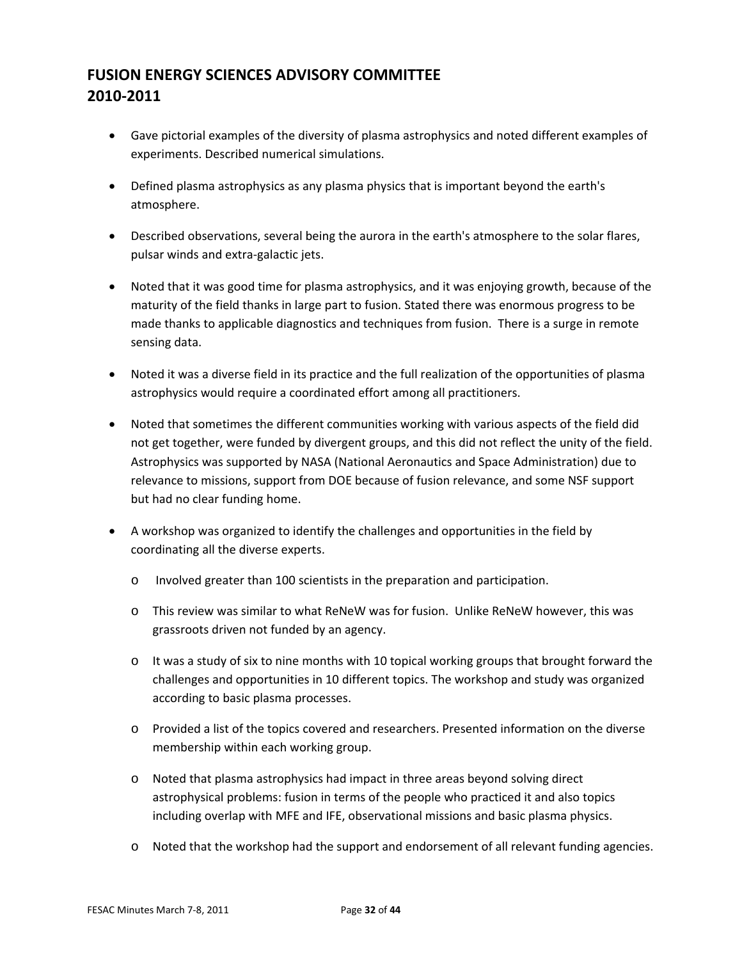- Gave pictorial examples of the diversity of plasma astrophysics and noted different examples of experiments. Described numerical simulations.
- Defined plasma astrophysics as any plasma physics that is important beyond the earth's atmosphere.
- Described observations, several being the aurora in the earth's atmosphere to the solar flares, pulsar winds and extra‐galactic jets.
- Noted that it was good time for plasma astrophysics, and it was enjoying growth, because of the maturity of the field thanks in large part to fusion. Stated there was enormous progress to be made thanks to applicable diagnostics and techniques from fusion. There is a surge in remote sensing data.
- Noted it was a diverse field in its practice and the full realization of the opportunities of plasma astrophysics would require a coordinated effort among all practitioners.
- Noted that sometimes the different communities working with various aspects of the field did not get together, were funded by divergent groups, and this did not reflect the unity of the field. Astrophysics was supported by NASA (National Aeronautics and Space Administration) due to relevance to missions, support from DOE because of fusion relevance, and some NSF support but had no clear funding home.
- A workshop was organized to identify the challenges and opportunities in the field by coordinating all the diverse experts.
	- o Involved greater than 100 scientists in the preparation and participation.
	- o This review was similar to what ReNeW was for fusion. Unlike ReNeW however, this was grassroots driven not funded by an agency.
	- $\circ$  It was a study of six to nine months with 10 topical working groups that brought forward the challenges and opportunities in 10 different topics. The workshop and study was organized according to basic plasma processes.
	- o Provided a list of the topics covered and researchers. Presented information on the diverse membership within each working group.
	- o Noted that plasma astrophysics had impact in three areas beyond solving direct astrophysical problems: fusion in terms of the people who practiced it and also topics including overlap with MFE and IFE, observational missions and basic plasma physics.
	- o Noted that the workshop had the support and endorsement of all relevant funding agencies.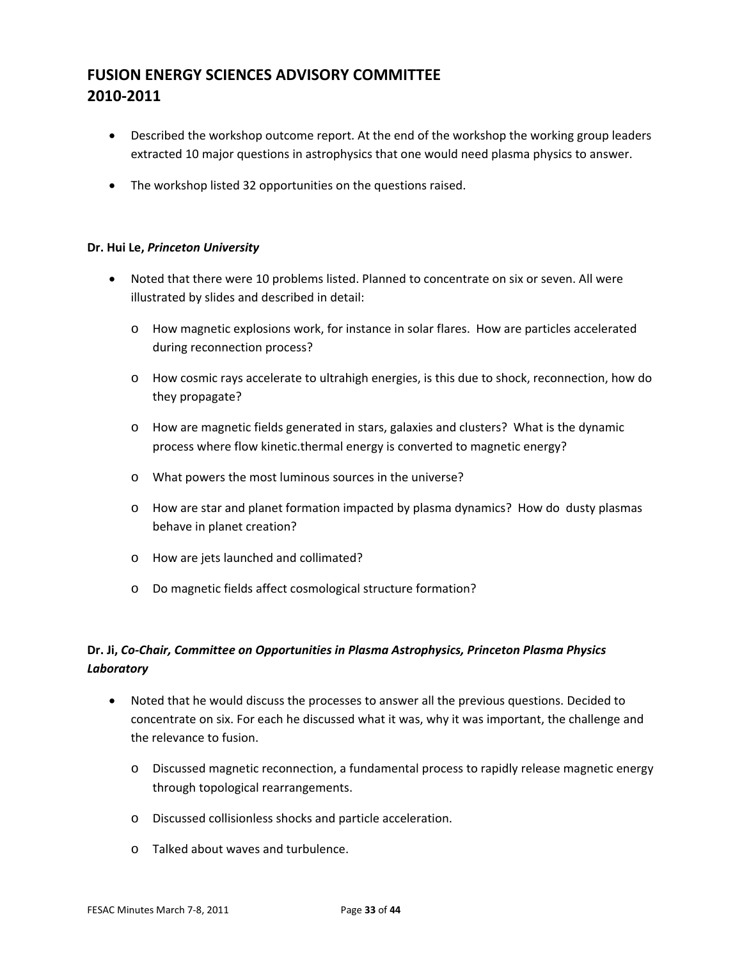- Described the workshop outcome report. At the end of the workshop the working group leaders extracted 10 major questions in astrophysics that one would need plasma physics to answer.
- The workshop listed 32 opportunities on the questions raised.

#### **Dr. Hui Le,** *Princeton University*

- Noted that there were 10 problems listed. Planned to concentrate on six or seven. All were illustrated by slides and described in detail:
	- o How magnetic explosions work, for instance in solar flares. How are particles accelerated during reconnection process?
	- o How cosmic rays accelerate to ultrahigh energies, is this due to shock, reconnection, how do they propagate?
	- o How are magnetic fields generated in stars, galaxies and clusters? What is the dynamic process where flow kinetic.thermal energy is converted to magnetic energy?
	- o What powers the most luminous sources in the universe?
	- o How are star and planet formation impacted by plasma dynamics? How do dusty plasmas behave in planet creation?
	- o How are jets launched and collimated?
	- o Do magnetic fields affect cosmological structure formation?

### **Dr. Ji,** *Co‐Chair, Committee on Opportunities in Plasma Astrophysics, Princeton Plasma Physics Laboratory*

- Noted that he would discuss the processes to answer all the previous questions. Decided to concentrate on six. For each he discussed what it was, why it was important, the challenge and the relevance to fusion.
	- o Discussed magnetic reconnection, a fundamental process to rapidly release magnetic energy through topological rearrangements.
	- o Discussed collisionless shocks and particle acceleration.
	- o Talked about waves and turbulence.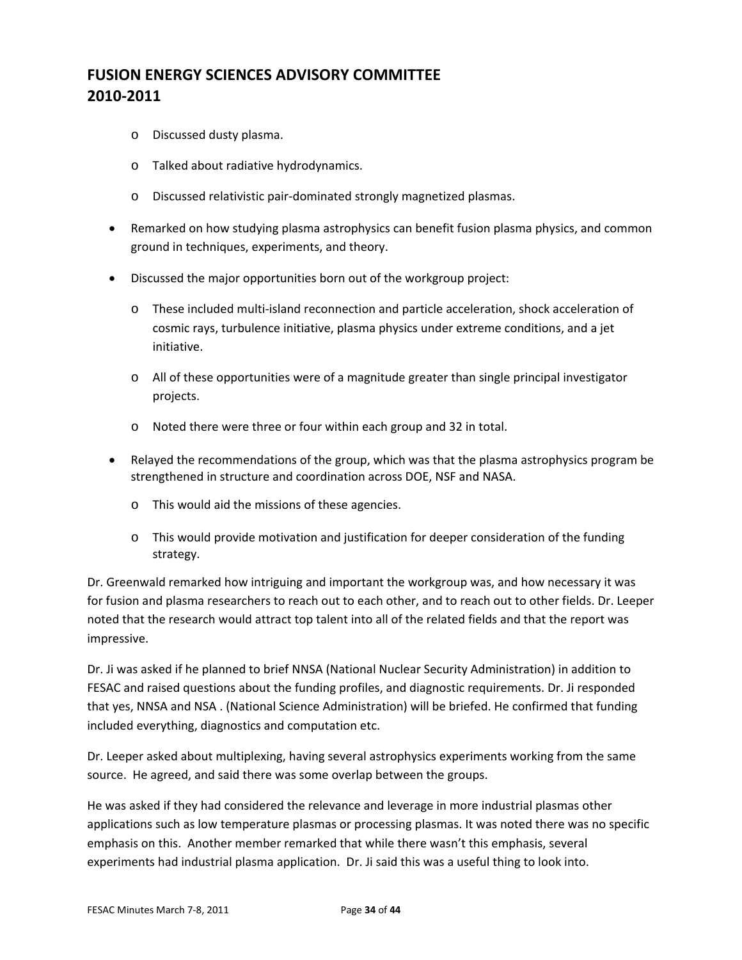- o Discussed dusty plasma.
- o Talked about radiative hydrodynamics.
- o Discussed relativistic pair‐dominated strongly magnetized plasmas.
- Remarked on how studying plasma astrophysics can benefit fusion plasma physics, and common ground in techniques, experiments, and theory.
- Discussed the major opportunities born out of the workgroup project:
	- o These included multi‐island reconnection and particle acceleration, shock acceleration of cosmic rays, turbulence initiative, plasma physics under extreme conditions, and a jet initiative.
	- o All of these opportunities were of a magnitude greater than single principal investigator projects.
	- o Noted there were three or four within each group and 32 in total.
- Relayed the recommendations of the group, which was that the plasma astrophysics program be strengthened in structure and coordination across DOE, NSF and NASA.
	- o This would aid the missions of these agencies.
	- o This would provide motivation and justification for deeper consideration of the funding strategy.

Dr. Greenwald remarked how intriguing and important the workgroup was, and how necessary it was for fusion and plasma researchers to reach out to each other, and to reach out to other fields. Dr. Leeper noted that the research would attract top talent into all of the related fields and that the report was impressive.

Dr. Ji was asked if he planned to brief NNSA (National Nuclear Security Administration) in addition to FESAC and raised questions about the funding profiles, and diagnostic requirements. Dr. Ji responded that yes, NNSA and NSA . (National Science Administration) will be briefed. He confirmed that funding included everything, diagnostics and computation etc.

Dr. Leeper asked about multiplexing, having several astrophysics experiments working from the same source. He agreed, and said there was some overlap between the groups.

He was asked if they had considered the relevance and leverage in more industrial plasmas other applications such as low temperature plasmas or processing plasmas. It was noted there was no specific emphasis on this. Another member remarked that while there wasn't this emphasis, several experiments had industrial plasma application. Dr. Ji said this was a useful thing to look into.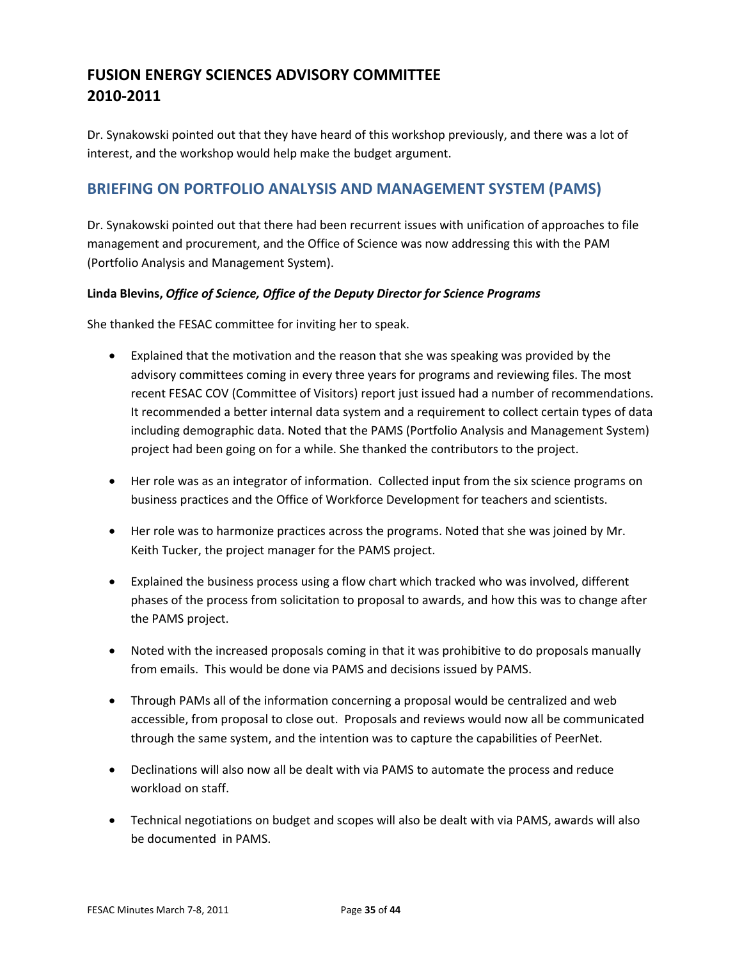Dr. Synakowski pointed out that they have heard of this workshop previously, and there was a lot of interest, and the workshop would help make the budget argument.

### **BRIEFING ON PORTFOLIO ANALYSIS AND MANAGEMENT SYSTEM (PAMS)**

Dr. Synakowski pointed out that there had been recurrent issues with unification of approaches to file management and procurement, and the Office of Science was now addressing this with the PAM (Portfolio Analysis and Management System).

#### **Linda Blevins,** *Office of Science, Office of the Deputy Director for Science Programs*

She thanked the FESAC committee for inviting her to speak.

- Explained that the motivation and the reason that she was speaking was provided by the advisory committees coming in every three years for programs and reviewing files. The most recent FESAC COV (Committee of Visitors) report just issued had a number of recommendations. It recommended a better internal data system and a requirement to collect certain types of data including demographic data. Noted that the PAMS (Portfolio Analysis and Management System) project had been going on for a while. She thanked the contributors to the project.
- Her role was as an integrator of information. Collected input from the six science programs on business practices and the Office of Workforce Development for teachers and scientists.
- Her role was to harmonize practices across the programs. Noted that she was joined by Mr. Keith Tucker, the project manager for the PAMS project.
- Explained the business process using a flow chart which tracked who was involved, different phases of the process from solicitation to proposal to awards, and how this was to change after the PAMS project.
- Noted with the increased proposals coming in that it was prohibitive to do proposals manually from emails. This would be done via PAMS and decisions issued by PAMS.
- Through PAMs all of the information concerning a proposal would be centralized and web accessible, from proposal to close out. Proposals and reviews would now all be communicated through the same system, and the intention was to capture the capabilities of PeerNet.
- Declinations will also now all be dealt with via PAMS to automate the process and reduce workload on staff.
- Technical negotiations on budget and scopes will also be dealt with via PAMS, awards will also be documented in PAMS.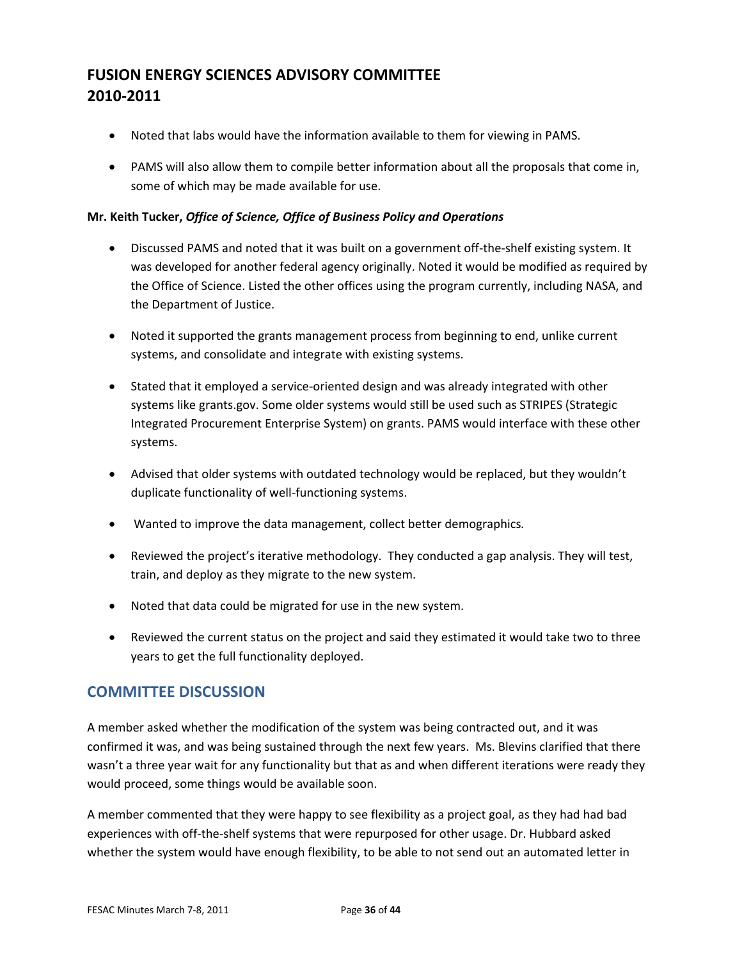- Noted that labs would have the information available to them for viewing in PAMS.
- PAMS will also allow them to compile better information about all the proposals that come in, some of which may be made available for use.

#### **Mr. Keith Tucker,** *Office of Science, Office of Business Policy and Operations*

- Discussed PAMS and noted that it was built on a government off-the-shelf existing system. It was developed for another federal agency originally. Noted it would be modified as required by the Office of Science. Listed the other offices using the program currently, including NASA, and the Department of Justice.
- Noted it supported the grants management process from beginning to end, unlike current systems, and consolidate and integrate with existing systems.
- Stated that it employed a service-oriented design and was already integrated with other systems like grants.gov. Some older systems would still be used such as STRIPES (Strategic Integrated Procurement Enterprise System) on grants. PAMS would interface with these other systems.
- Advised that older systems with outdated technology would be replaced, but they wouldn't duplicate functionality of well‐functioning systems.
- Wanted to improve the data management, collect better demographics*.*
- Reviewed the project's iterative methodology. They conducted a gap analysis. They will test, train, and deploy as they migrate to the new system.
- Noted that data could be migrated for use in the new system.
- Reviewed the current status on the project and said they estimated it would take two to three years to get the full functionality deployed.

### **COMMITTEE DISCUSSION**

A member asked whether the modification of the system was being contracted out, and it was confirmed it was, and was being sustained through the next few years. Ms. Blevins clarified that there wasn't a three year wait for any functionality but that as and when different iterations were ready they would proceed, some things would be available soon.

A member commented that they were happy to see flexibility as a project goal, as they had had bad experiences with off-the-shelf systems that were repurposed for other usage. Dr. Hubbard asked whether the system would have enough flexibility, to be able to not send out an automated letter in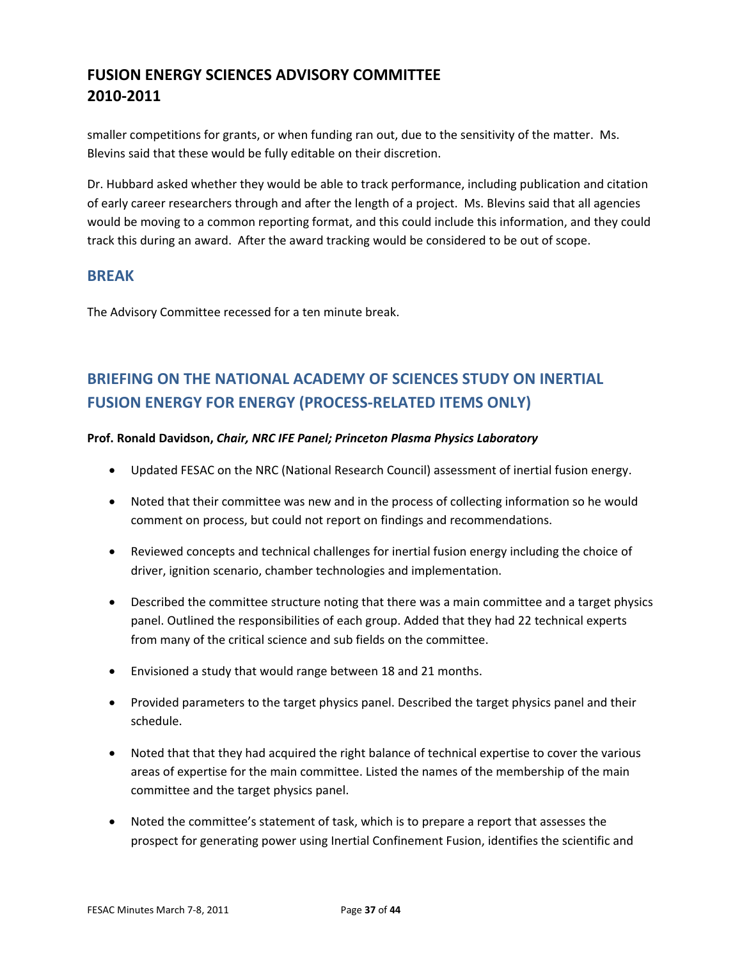smaller competitions for grants, or when funding ran out, due to the sensitivity of the matter. Ms. Blevins said that these would be fully editable on their discretion.

Dr. Hubbard asked whether they would be able to track performance, including publication and citation of early career researchers through and after the length of a project. Ms. Blevins said that all agencies would be moving to a common reporting format, and this could include this information, and they could track this during an award. After the award tracking would be considered to be out of scope.

### **BREAK**

The Advisory Committee recessed for a ten minute break.

# **BRIEFING ON THE NATIONAL ACADEMY OF SCIENCES STUDY ON INERTIAL FUSION ENERGY FOR ENERGY (PROCESS‐RELATED ITEMS ONLY)**

#### **Prof. Ronald Davidson,** *Chair, NRC IFE Panel; Princeton Plasma Physics Laboratory*

- Updated FESAC on the NRC (National Research Council) assessment of inertial fusion energy.
- Noted that their committee was new and in the process of collecting information so he would comment on process, but could not report on findings and recommendations.
- Reviewed concepts and technical challenges for inertial fusion energy including the choice of driver, ignition scenario, chamber technologies and implementation.
- Described the committee structure noting that there was a main committee and a target physics panel. Outlined the responsibilities of each group. Added that they had 22 technical experts from many of the critical science and sub fields on the committee.
- Envisioned a study that would range between 18 and 21 months.
- Provided parameters to the target physics panel. Described the target physics panel and their schedule.
- Noted that that they had acquired the right balance of technical expertise to cover the various areas of expertise for the main committee. Listed the names of the membership of the main committee and the target physics panel.
- Noted the committee's statement of task, which is to prepare a report that assesses the prospect for generating power using Inertial Confinement Fusion, identifies the scientific and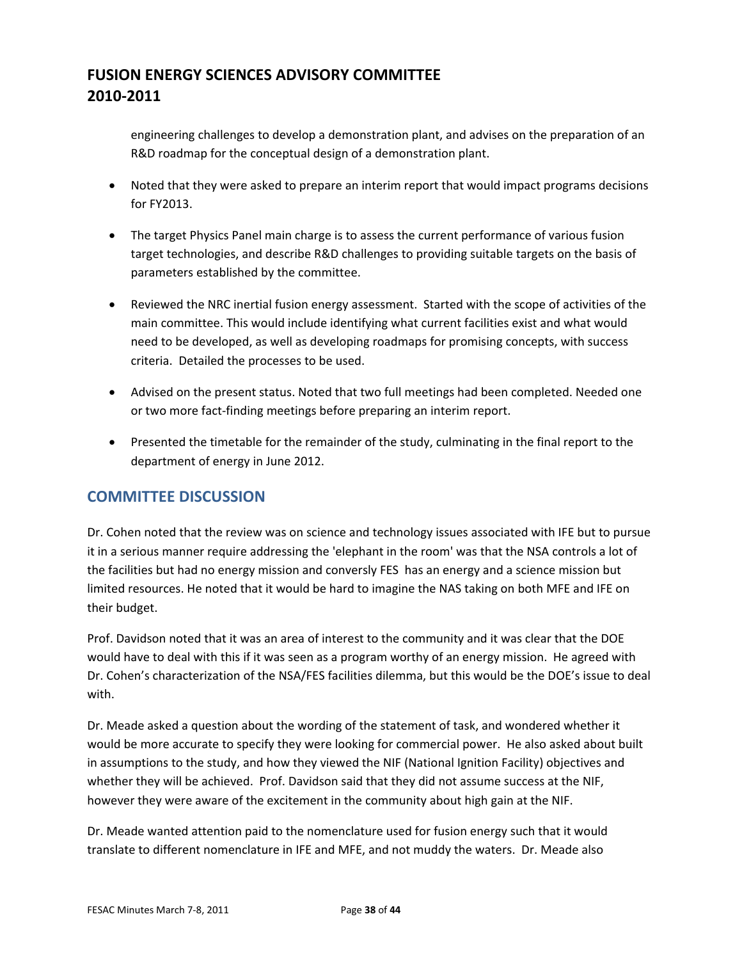engineering challenges to develop a demonstration plant, and advises on the preparation of an R&D roadmap for the conceptual design of a demonstration plant.

- Noted that they were asked to prepare an interim report that would impact programs decisions for FY2013.
- The target Physics Panel main charge is to assess the current performance of various fusion target technologies, and describe R&D challenges to providing suitable targets on the basis of parameters established by the committee.
- Reviewed the NRC inertial fusion energy assessment. Started with the scope of activities of the main committee. This would include identifying what current facilities exist and what would need to be developed, as well as developing roadmaps for promising concepts, with success criteria. Detailed the processes to be used.
- Advised on the present status. Noted that two full meetings had been completed. Needed one or two more fact‐finding meetings before preparing an interim report.
- Presented the timetable for the remainder of the study, culminating in the final report to the department of energy in June 2012.

### **COMMITTEE DISCUSSION**

Dr. Cohen noted that the review was on science and technology issues associated with IFE but to pursue it in a serious manner require addressing the 'elephant in the room' was that the NSA controls a lot of the facilities but had no energy mission and conversly FES has an energy and a science mission but limited resources. He noted that it would be hard to imagine the NAS taking on both MFE and IFE on their budget.

Prof. Davidson noted that it was an area of interest to the community and it was clear that the DOE would have to deal with this if it was seen as a program worthy of an energy mission. He agreed with Dr. Cohen's characterization of the NSA/FES facilities dilemma, but this would be the DOE's issue to deal with.

Dr. Meade asked a question about the wording of the statement of task, and wondered whether it would be more accurate to specify they were looking for commercial power. He also asked about built in assumptions to the study, and how they viewed the NIF (National Ignition Facility) objectives and whether they will be achieved. Prof. Davidson said that they did not assume success at the NIF, however they were aware of the excitement in the community about high gain at the NIF.

Dr. Meade wanted attention paid to the nomenclature used for fusion energy such that it would translate to different nomenclature in IFE and MFE, and not muddy the waters. Dr. Meade also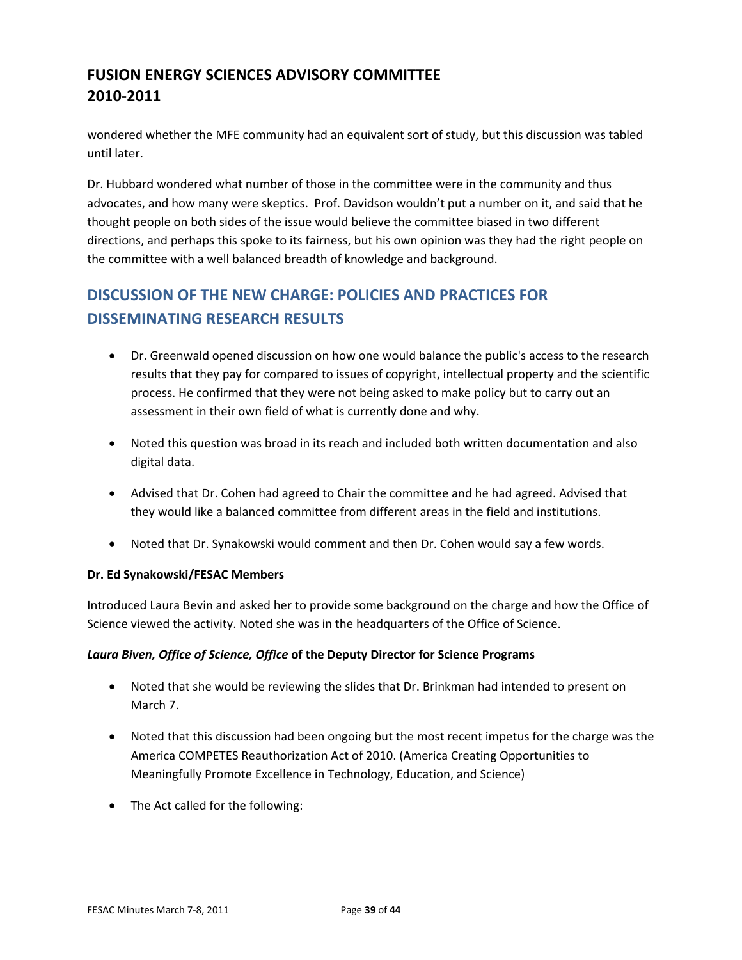wondered whether the MFE community had an equivalent sort of study, but this discussion was tabled until later.

Dr. Hubbard wondered what number of those in the committee were in the community and thus advocates, and how many were skeptics. Prof. Davidson wouldn't put a number on it, and said that he thought people on both sides of the issue would believe the committee biased in two different directions, and perhaps this spoke to its fairness, but his own opinion was they had the right people on the committee with a well balanced breadth of knowledge and background.

# **DISCUSSION OF THE NEW CHARGE: POLICIES AND PRACTICES FOR DISSEMINATING RESEARCH RESULTS**

- Dr. Greenwald opened discussion on how one would balance the public's access to the research results that they pay for compared to issues of copyright, intellectual property and the scientific process. He confirmed that they were not being asked to make policy but to carry out an assessment in their own field of what is currently done and why.
- Noted this question was broad in its reach and included both written documentation and also digital data.
- Advised that Dr. Cohen had agreed to Chair the committee and he had agreed. Advised that they would like a balanced committee from different areas in the field and institutions.
- Noted that Dr. Synakowski would comment and then Dr. Cohen would say a few words.

### **Dr. Ed Synakowski/FESAC Members**

Introduced Laura Bevin and asked her to provide some background on the charge and how the Office of Science viewed the activity. Noted she was in the headquarters of the Office of Science.

#### *Laura Biven, Office of Science, Office* **of the Deputy Director for Science Programs**

- Noted that she would be reviewing the slides that Dr. Brinkman had intended to present on March 7.
- Noted that this discussion had been ongoing but the most recent impetus for the charge was the America COMPETES Reauthorization Act of 2010. (America Creating Opportunities to Meaningfully Promote Excellence in Technology, Education, and Science)
- The Act called for the following: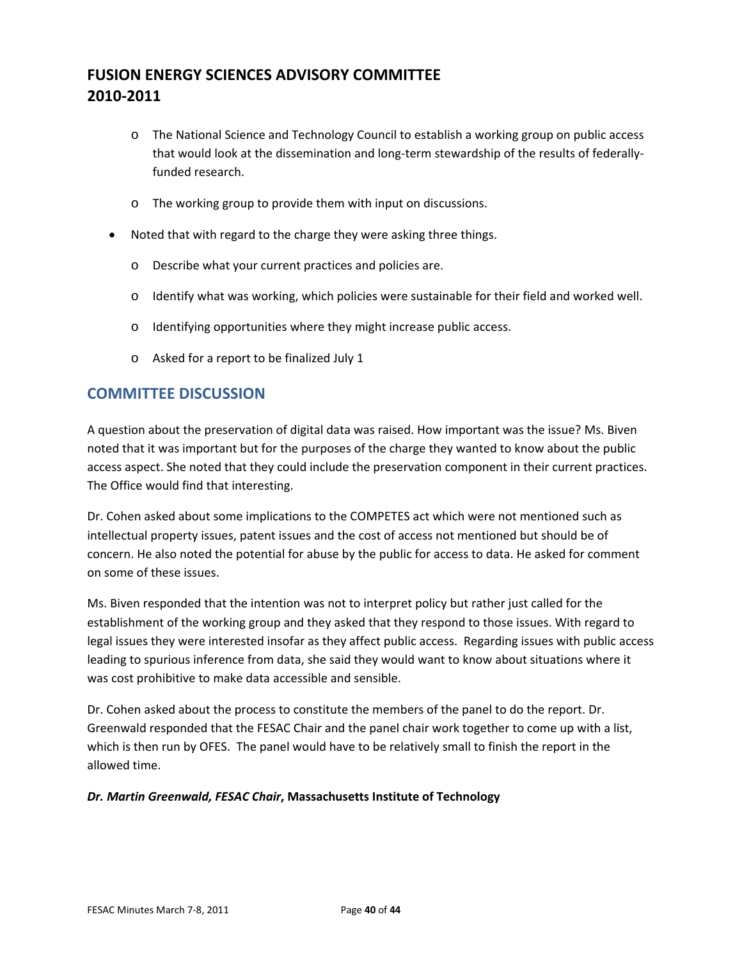- o The National Science and Technology Council to establish a working group on public access that would look at the dissemination and long‐term stewardship of the results of federally‐ funded research.
- o The working group to provide them with input on discussions.
- Noted that with regard to the charge they were asking three things.
	- o Describe what your current practices and policies are.
	- o Identify what was working, which policies were sustainable for their field and worked well.
	- o Identifying opportunities where they might increase public access.
	- o Asked for a report to be finalized July 1

### **COMMITTEE DISCUSSION**

A question about the preservation of digital data was raised. How important was the issue? Ms. Biven noted that it was important but for the purposes of the charge they wanted to know about the public access aspect. She noted that they could include the preservation component in their current practices. The Office would find that interesting.

Dr. Cohen asked about some implications to the COMPETES act which were not mentioned such as intellectual property issues, patent issues and the cost of access not mentioned but should be of concern. He also noted the potential for abuse by the public for access to data. He asked for comment on some of these issues.

Ms. Biven responded that the intention was not to interpret policy but rather just called for the establishment of the working group and they asked that they respond to those issues. With regard to legal issues they were interested insofar as they affect public access. Regarding issues with public access leading to spurious inference from data, she said they would want to know about situations where it was cost prohibitive to make data accessible and sensible.

Dr. Cohen asked about the process to constitute the members of the panel to do the report. Dr. Greenwald responded that the FESAC Chair and the panel chair work together to come up with a list, which is then run by OFES. The panel would have to be relatively small to finish the report in the allowed time.

#### *Dr. Martin Greenwald, FESAC Chair***, Massachusetts Institute of Technology**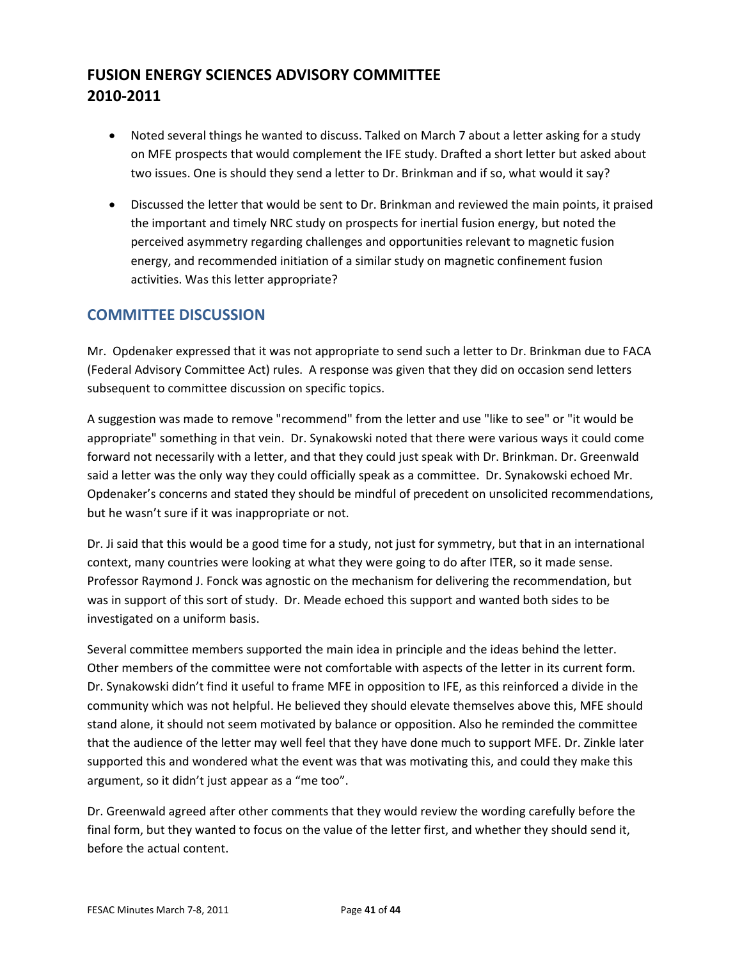- Noted several things he wanted to discuss. Talked on March 7 about a letter asking for a study on MFE prospects that would complement the IFE study. Drafted a short letter but asked about two issues. One is should they send a letter to Dr. Brinkman and if so, what would it say?
- Discussed the letter that would be sent to Dr. Brinkman and reviewed the main points, it praised the important and timely NRC study on prospects for inertial fusion energy, but noted the perceived asymmetry regarding challenges and opportunities relevant to magnetic fusion energy, and recommended initiation of a similar study on magnetic confinement fusion activities. Was this letter appropriate?

### **COMMITTEE DISCUSSION**

Mr. Opdenaker expressed that it was not appropriate to send such a letter to Dr. Brinkman due to FACA (Federal Advisory Committee Act) rules. A response was given that they did on occasion send letters subsequent to committee discussion on specific topics.

A suggestion was made to remove "recommend" from the letter and use "like to see" or "it would be appropriate" something in that vein. Dr. Synakowski noted that there were various ways it could come forward not necessarily with a letter, and that they could just speak with Dr. Brinkman. Dr. Greenwald said a letter was the only way they could officially speak as a committee. Dr. Synakowski echoed Mr. Opdenaker's concerns and stated they should be mindful of precedent on unsolicited recommendations, but he wasn't sure if it was inappropriate or not.

Dr. Ji said that this would be a good time for a study, not just for symmetry, but that in an international context, many countries were looking at what they were going to do after ITER, so it made sense. Professor Raymond J. Fonck was agnostic on the mechanism for delivering the recommendation, but was in support of this sort of study. Dr. Meade echoed this support and wanted both sides to be investigated on a uniform basis.

Several committee members supported the main idea in principle and the ideas behind the letter. Other members of the committee were not comfortable with aspects of the letter in its current form. Dr. Synakowski didn't find it useful to frame MFE in opposition to IFE, as this reinforced a divide in the community which was not helpful. He believed they should elevate themselves above this, MFE should stand alone, it should not seem motivated by balance or opposition. Also he reminded the committee that the audience of the letter may well feel that they have done much to support MFE. Dr. Zinkle later supported this and wondered what the event was that was motivating this, and could they make this argument, so it didn't just appear as a "me too".

Dr. Greenwald agreed after other comments that they would review the wording carefully before the final form, but they wanted to focus on the value of the letter first, and whether they should send it, before the actual content.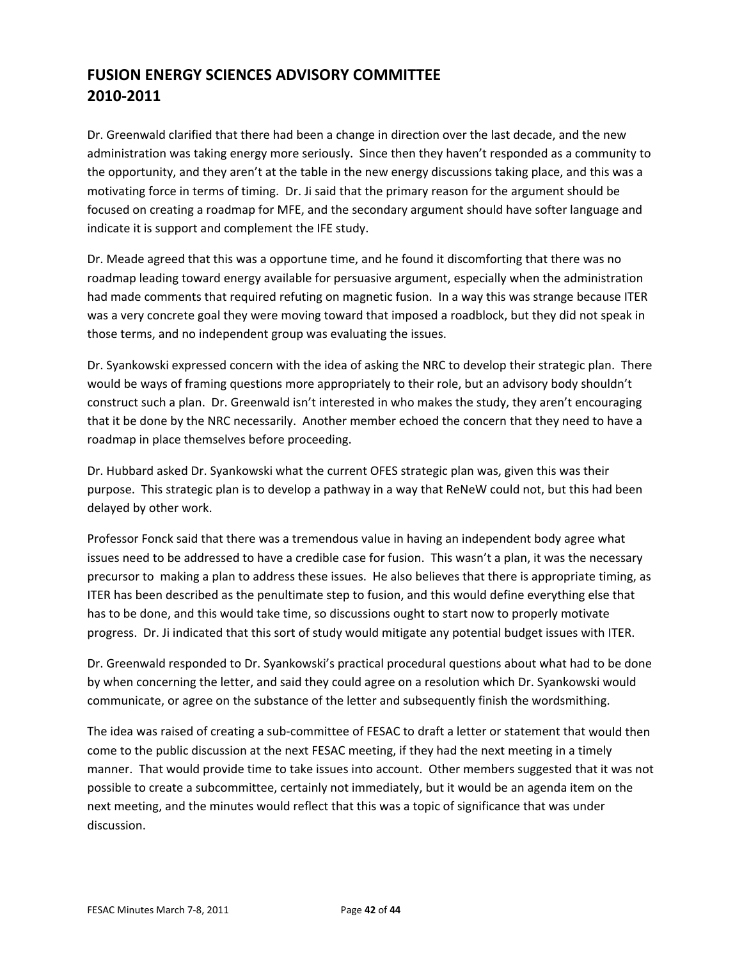Dr. Greenwald clarified that there had been a change in direction over the last decade, and the new administration was taking energy more seriously. Since then they haven't responded as a community to the opportunity, and they aren't at the table in the new energy discussions taking place, and this was a motivating force in terms of timing. Dr. Ji said that the primary reason for the argument should be focused on creating a roadmap for MFE, and the secondary argument should have softer language and indicate it is support and complement the IFE study.

Dr. Meade agreed that this was a opportune time, and he found it discomforting that there was no roadmap leading toward energy available for persuasive argument, especially when the administration had made comments that required refuting on magnetic fusion. In a way this was strange because ITER was a very concrete goal they were moving toward that imposed a roadblock, but they did not speak in those terms, and no independent group was evaluating the issues.

Dr. Syankowski expressed concern with the idea of asking the NRC to develop their strategic plan. There would be ways of framing questions more appropriately to their role, but an advisory body shouldn't construct such a plan. Dr. Greenwald isn't interested in who makes the study, they aren't encouraging that it be done by the NRC necessarily. Another member echoed the concern that they need to have a roadmap in place themselves before proceeding.

Dr. Hubbard asked Dr. Syankowski what the current OFES strategic plan was, given this was their purpose. This strategic plan is to develop a pathway in a way that ReNeW could not, but this had been delayed by other work.

Professor Fonck said that there was a tremendous value in having an independent body agree what issues need to be addressed to have a credible case for fusion. This wasn't a plan, it was the necessary precursor to making a plan to address these issues. He also believes that there is appropriate timing, as ITER has been described as the penultimate step to fusion, and this would define everything else that has to be done, and this would take time, so discussions ought to start now to properly motivate progress. Dr. Ji indicated that this sort of study would mitigate any potential budget issues with ITER.

Dr. Greenwald responded to Dr. Syankowski's practical procedural questions about what had to be done by when concerning the letter, and said they could agree on a resolution which Dr. Syankowski would communicate, or agree on the substance of the letter and subsequently finish the wordsmithing.

The idea was raised of creating a sub-committee of FESAC to draft a letter or statement that would then come to the public discussion at the next FESAC meeting, if they had the next meeting in a timely manner. That would provide time to take issues into account. Other members suggested that it was not possible to create a subcommittee, certainly not immediately, but it would be an agenda item on the next meeting, and the minutes would reflect that this was a topic of significance that was under discussion.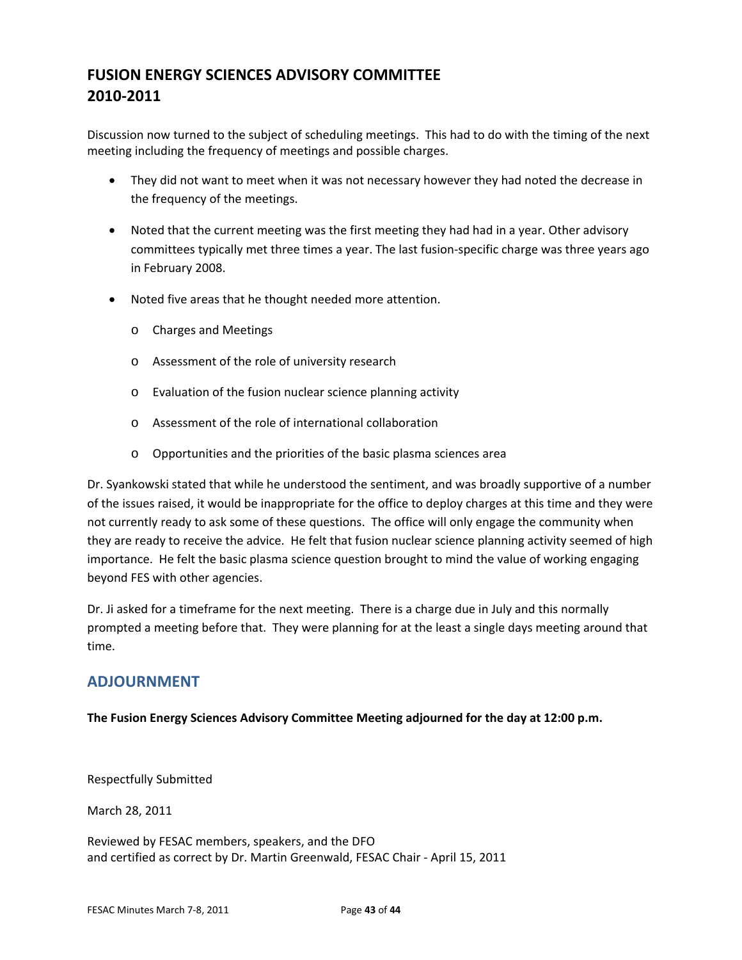Discussion now turned to the subject of scheduling meetings. This had to do with the timing of the next meeting including the frequency of meetings and possible charges.

- They did not want to meet when it was not necessary however they had noted the decrease in the frequency of the meetings.
- Noted that the current meeting was the first meeting they had had in a year. Other advisory committees typically met three times a year. The last fusion-specific charge was three years ago in February 2008.
- Noted five areas that he thought needed more attention.
	- o Charges and Meetings
	- o Assessment of the role of university research
	- o Evaluation of the fusion nuclear science planning activity
	- o Assessment of the role of international collaboration
	- o Opportunities and the priorities of the basic plasma sciences area

Dr. Syankowski stated that while he understood the sentiment, and was broadly supportive of a number of the issues raised, it would be inappropriate for the office to deploy charges at this time and they were not currently ready to ask some of these questions. The office will only engage the community when they are ready to receive the advice. He felt that fusion nuclear science planning activity seemed of high importance. He felt the basic plasma science question brought to mind the value of working engaging beyond FES with other agencies.

Dr. Ji asked for a timeframe for the next meeting. There is a charge due in July and this normally prompted a meeting before that. They were planning for at the least a single days meeting around that time.

### **ADJOURNMENT**

**The Fusion Energy Sciences Advisory Committee Meeting adjourned for the day at 12:00 p.m.** 

Respectfully Submitted

March 28, 2011

Reviewed by FESAC members, speakers, and the DFO and certified as correct by Dr. Martin Greenwald, FESAC Chair ‐ April 15, 2011